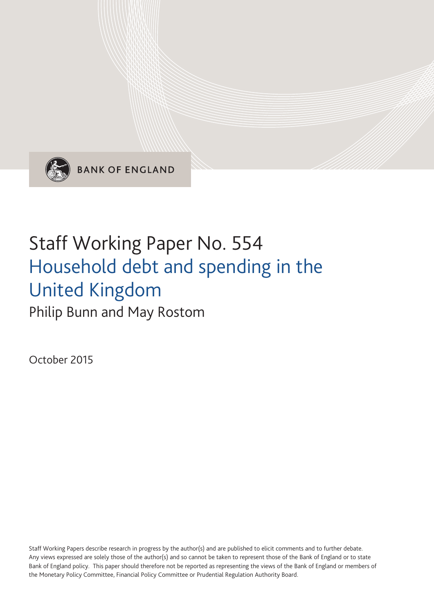

**BANK OF ENGLAND** 

# Staff Working Paper No. 554 Household debt and spending in the United Kingdom Philip Bunn and May Rostom

October 2015

Staff Working Papers describe research in progress by the author(s) and are published to elicit comments and to further debate. Any views expressed are solely those of the author(s) and so cannot be taken to represent those of the Bank of England or to state Bank of England policy. This paper should therefore not be reported as representing the views of the Bank of England or members of the Monetary Policy Committee, Financial Policy Committee or Prudential Regulation Authority Board.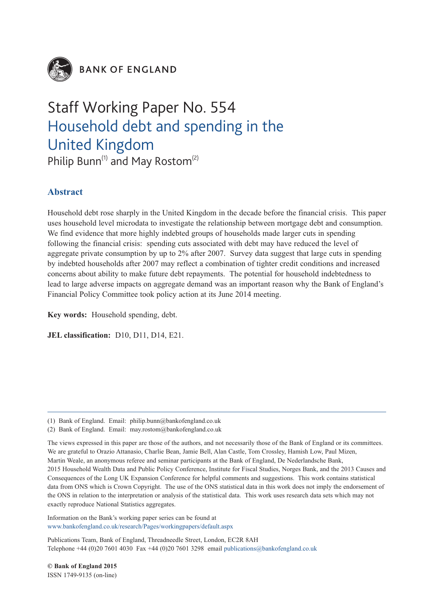

**BANK OF ENGLAND** 

# Staff Working Paper No. 554 Household debt and spending in the United Kingdom

Philip Bunn<sup>(1)</sup> and May Rostom<sup>(2)</sup>

# **Abstract**

Household debt rose sharply in the United Kingdom in the decade before the financial crisis. This paper uses household level microdata to investigate the relationship between mortgage debt and consumption. We find evidence that more highly indebted groups of households made larger cuts in spending following the financial crisis: spending cuts associated with debt may have reduced the level of aggregate private consumption by up to 2% after 2007. Survey data suggest that large cuts in spending by indebted households after 2007 may reflect a combination of tighter credit conditions and increased concerns about ability to make future debt repayments. The potential for household indebtedness to lead to large adverse impacts on aggregate demand was an important reason why the Bank of England's Financial Policy Committee took policy action at its June 2014 meeting.

**Key words:** Household spending, debt.

**JEL classification:** D10, D11, D14, E21.

Information on the Bank's working paper series can be found at www.bankofengland.co.uk/research/Pages/workingpapers/default.aspx

Publications Team, Bank of England, Threadneedle Street, London, EC2R 8AH Telephone  $+44$  (0)20 7601 4030 Fax  $+44$  (0)20 7601 3298 email publications @bankofengland.co.uk

<sup>(1)</sup> Bank of England. Email: philip.bunn@bankofengland.co.uk

<sup>(2)</sup> Bank of England. Email: may.rostom@bankofengland.co.uk

The views expressed in this paper are those of the authors, and not necessarily those of the Bank of England or its committees. We are grateful to Orazio Attanasio, Charlie Bean, Jamie Bell, Alan Castle, Tom Crossley, Hamish Low, Paul Mizen, Martin Weale, an anonymous referee and seminar participants at the Bank of England, De Nederlandsche Bank, 2015 Household Wealth Data and Public Policy Conference, Institute for Fiscal Studies, Norges Bank, and the 2013 Causes and Consequences of the Long UK Expansion Conference for helpful comments and suggestions. This work contains statistical data from ONS which is Crown Copyright. The use of the ONS statistical data in this work does not imply the endorsement of the ONS in relation to the interpretation or analysis of the statistical data. This work uses research data sets which may not exactly reproduce National Statistics aggregates.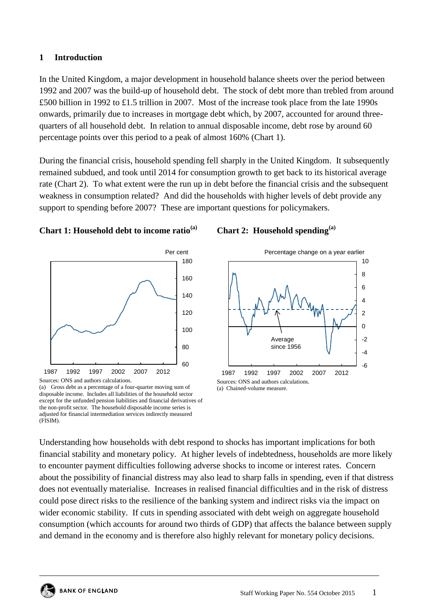# **1 Introduction**

In the United Kingdom, a major development in household balance sheets over the period between 1992 and 2007 was the build-up of household debt. The stock of debt more than trebled from around £500 billion in 1992 to £1.5 trillion in 2007. Most of the increase took place from the late 1990s onwards, primarily due to increases in mortgage debt which, by 2007, accounted for around threequarters of all household debt. In relation to annual disposable income, debt rose by around 60 percentage points over this period to a peak of almost 160% (Chart 1).

During the financial crisis, household spending fell sharply in the United Kingdom. It subsequently remained subdued, and took until 2014 for consumption growth to get back to its historical average rate (Chart 2). To what extent were the run up in debt before the financial crisis and the subsequent weakness in consumption related? And did the households with higher levels of debt provide any support to spending before 2007? These are important questions for policymakers.

# **Chart 1: Household debt to income ratio(a) Chart 2: Household spending(a)**



Sources: ONS and authors calculations. (a) Gross debt as a percentage of a four-quarter moving sum of disposable income. Includes all liabilities of the household sector except for the unfunded pension liabilities and financial derivatives of the non-profit sector. The household disposable income series is adjusted for financial intermediation services indirectly measured (FISIM).



Understanding how households with debt respond to shocks has important implications for both financial stability and monetary policy. At higher levels of indebtedness, households are more likely to encounter payment difficulties following adverse shocks to income or interest rates. Concern about the possibility of financial distress may also lead to sharp falls in spending, even if that distress does not eventually materialise. Increases in realised financial difficulties and in the risk of distress could pose direct risks to the resilience of the banking system and indirect risks via the impact on wider economic stability. If cuts in spending associated with debt weigh on aggregate household consumption (which accounts for around two thirds of GDP) that affects the balance between supply and demand in the economy and is therefore also highly relevant for monetary policy decisions.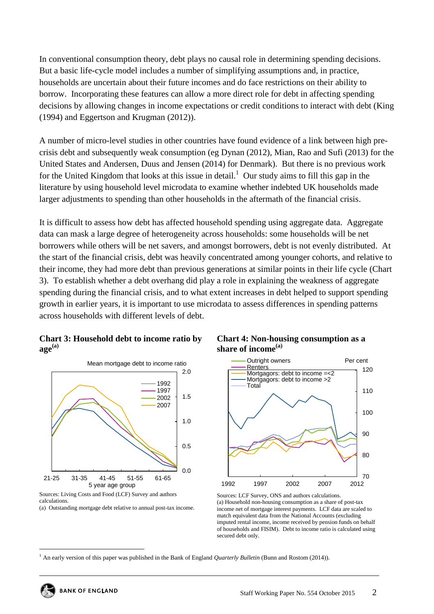In conventional consumption theory, debt plays no causal role in determining spending decisions. But a basic life-cycle model includes a number of simplifying assumptions and, in practice, households are uncertain about their future incomes and do face restrictions on their ability to borrow. Incorporating these features can allow a more direct role for debt in affecting spending decisions by allowing changes in income expectations or credit conditions to interact with debt (King (1994) and Eggertson and Krugman (2012)).

A number of micro-level studies in other countries have found evidence of a link between high precrisis debt and subsequently weak consumption (eg Dynan (2012), Mian, Rao and Sufi (2013) for the United States and Andersen, Duus and Jensen (2014) for Denmark). But there is no previous work for the United Kingdom that looks at this issue in detail.<sup>1</sup> Our study aims to fill this gap in the literature by using household level microdata to examine whether indebted UK households made larger adjustments to spending than other households in the aftermath of the financial crisis.

It is difficult to assess how debt has affected household spending using aggregate data. Aggregate data can mask a large degree of heterogeneity across households: some households will be net borrowers while others will be net savers, and amongst borrowers, debt is not evenly distributed. At the start of the financial crisis, debt was heavily concentrated among younger cohorts, and relative to their income, they had more debt than previous generations at similar points in their life cycle (Chart 3). To establish whether a debt overhang did play a role in explaining the weakness of aggregate spending during the financial crisis, and to what extent increases in debt helped to support spending growth in earlier years, it is important to use microdata to assess differences in spending patterns across households with different levels of debt.

#### **Chart 3: Household debt to income ratio by age(a)**



Sources: Living Costs and Food (LCF) Survey and authors calculations.

(a) Outstanding mortgage debt relative to annual post-tax income.

#### **Chart 4: Non-housing consumption as a share of income(a)**



Sources: LCF Survey, ONS and authors calculations. (a) Household non-housing consumption as a share of post-tax income net of mortgage interest payments. LCF data are scaled to match equivalent data from the National Accounts (excluding imputed rental income, income received by pension funds on behalf of households and FISIM). Debt to income ratio is calculated using secured debt only.

<sup>1</sup> An early version of this paper was published in the Bank of England *Quarterly Bulletin* (Bunn and Rostom (2014)).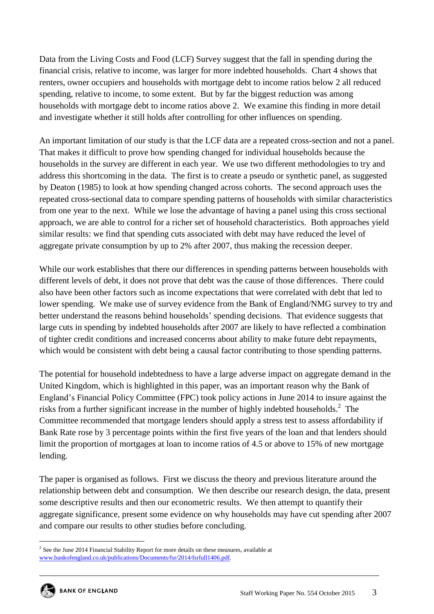Data from the Living Costs and Food (LCF) Survey suggest that the fall in spending during the financial crisis, relative to income, was larger for more indebted households. Chart 4 shows that renters, owner occupiers and households with mortgage debt to income ratios below 2 all reduced spending, relative to income, to some extent. But by far the biggest reduction was among households with mortgage debt to income ratios above 2. We examine this finding in more detail and investigate whether it still holds after controlling for other influences on spending.

An important limitation of our study is that the LCF data are a repeated cross-section and not a panel. That makes it difficult to prove how spending changed for individual households because the households in the survey are different in each year. We use two different methodologies to try and address this shortcoming in the data. The first is to create a pseudo or synthetic panel, as suggested by Deaton (1985) to look at how spending changed across cohorts. The second approach uses the repeated cross-sectional data to compare spending patterns of households with similar characteristics from one year to the next. While we lose the advantage of having a panel using this cross sectional approach, we are able to control for a richer set of household characteristics. Both approaches yield similar results: we find that spending cuts associated with debt may have reduced the level of aggregate private consumption by up to 2% after 2007, thus making the recession deeper.

While our work establishes that there our differences in spending patterns between households with different levels of debt, it does not prove that debt was the cause of those differences. There could also have been other factors such as income expectations that were correlated with debt that led to lower spending. We make use of survey evidence from the Bank of England/NMG survey to try and better understand the reasons behind households' spending decisions. That evidence suggests that large cuts in spending by indebted households after 2007 are likely to have reflected a combination of tighter credit conditions and increased concerns about ability to make future debt repayments, which would be consistent with debt being a causal factor contributing to those spending patterns.

The potential for household indebtedness to have a large adverse impact on aggregate demand in the United Kingdom, which is highlighted in this paper, was an important reason why the Bank of England's Financial Policy Committee (FPC) took policy actions in June 2014 to insure against the risks from a further significant increase in the number of highly indebted households. $2$  The Committee recommended that mortgage lenders should apply a stress test to assess affordability if Bank Rate rose by 3 percentage points within the first five years of the loan and that lenders should limit the proportion of mortgages at loan to income ratios of 4.5 or above to 15% of new mortgage lending.

The paper is organised as follows. First we discuss the theory and previous literature around the relationship between debt and consumption. We then describe our research design, the data, present some descriptive results and then our econometric results. We then attempt to quantify their aggregate significance, present some evidence on why households may have cut spending after 2007 and compare our results to other studies before concluding.

 $2^2$  See the June 2014 Financial Stability Report for more details on these measures, available at [www.bankofengland.co.uk/publications/Documents/fsr/2014/fsrfull1406.pdf.](http://www.bankofengland.co.uk/publications/Documents/fsr/2014/fsrfull1406.pdf)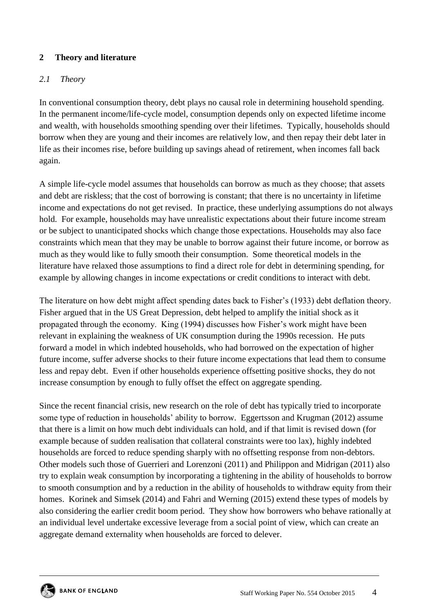# **2 Theory and literature**

# *2.1 Theory*

In conventional consumption theory, debt plays no causal role in determining household spending. In the permanent income/life-cycle model, consumption depends only on expected lifetime income and wealth, with households smoothing spending over their lifetimes. Typically, households should borrow when they are young and their incomes are relatively low, and then repay their debt later in life as their incomes rise, before building up savings ahead of retirement, when incomes fall back again.

A simple life-cycle model assumes that households can borrow as much as they choose; that assets and debt are riskless; that the cost of borrowing is constant; that there is no uncertainty in lifetime income and expectations do not get revised. In practice, these underlying assumptions do not always hold. For example, households may have unrealistic expectations about their future income stream or be subject to unanticipated shocks which change those expectations. Households may also face constraints which mean that they may be unable to borrow against their future income, or borrow as much as they would like to fully smooth their consumption. Some theoretical models in the literature have relaxed those assumptions to find a direct role for debt in determining spending, for example by allowing changes in income expectations or credit conditions to interact with debt.

The literature on how debt might affect spending dates back to Fisher's (1933) debt deflation theory. Fisher argued that in the US Great Depression, debt helped to amplify the initial shock as it propagated through the economy. King (1994) discusses how Fisher's work might have been relevant in explaining the weakness of UK consumption during the 1990s recession. He puts forward a model in which indebted households, who had borrowed on the expectation of higher future income, suffer adverse shocks to their future income expectations that lead them to consume less and repay debt. Even if other households experience offsetting positive shocks, they do not increase consumption by enough to fully offset the effect on aggregate spending.

Since the recent financial crisis, new research on the role of debt has typically tried to incorporate some type of reduction in households' ability to borrow. Eggertsson and Krugman (2012) assume that there is a limit on how much debt individuals can hold, and if that limit is revised down (for example because of sudden realisation that collateral constraints were too lax), highly indebted households are forced to reduce spending sharply with no offsetting response from non-debtors. Other models such those of Guerrieri and Lorenzoni (2011) and Philippon and Midrigan (2011) also try to explain weak consumption by incorporating a tightening in the ability of households to borrow to smooth consumption and by a reduction in the ability of households to withdraw equity from their homes. Korinek and Simsek (2014) and Fahri and Werning (2015) extend these types of models by also considering the earlier credit boom period. They show how borrowers who behave rationally at an individual level undertake excessive leverage from a social point of view, which can create an aggregate demand externality when households are forced to delever.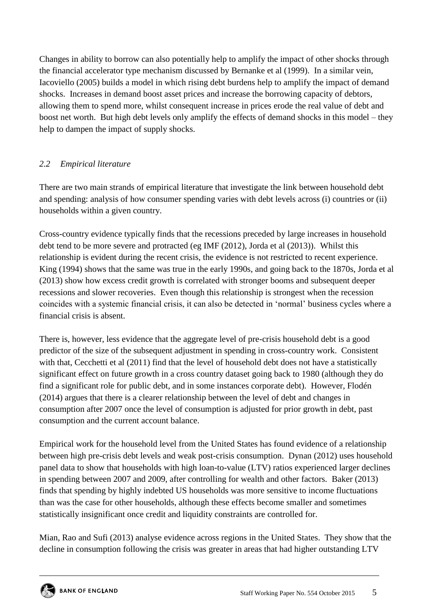Changes in ability to borrow can also potentially help to amplify the impact of other shocks through the financial accelerator type mechanism discussed by Bernanke et al (1999). In a similar vein, Iacoviello (2005) builds a model in which rising debt burdens help to amplify the impact of demand shocks. Increases in demand boost asset prices and increase the borrowing capacity of debtors, allowing them to spend more, whilst consequent increase in prices erode the real value of debt and boost net worth. But high debt levels only amplify the effects of demand shocks in this model – they help to dampen the impact of supply shocks.

# *2.2 Empirical literature*

There are two main strands of empirical literature that investigate the link between household debt and spending: analysis of how consumer spending varies with debt levels across (i) countries or (ii) households within a given country.

Cross-country evidence typically finds that the recessions preceded by large increases in household debt tend to be more severe and protracted (eg IMF (2012), Jorda et al (2013)). Whilst this relationship is evident during the recent crisis, the evidence is not restricted to recent experience. King (1994) shows that the same was true in the early 1990s, and going back to the 1870s, Jorda et al (2013) show how excess credit growth is correlated with stronger booms and subsequent deeper recessions and slower recoveries. Even though this relationship is strongest when the recession coincides with a systemic financial crisis, it can also be detected in 'normal' business cycles where a financial crisis is absent.

There is, however, less evidence that the aggregate level of pre-crisis household debt is a good predictor of the size of the subsequent adjustment in spending in cross-country work. Consistent with that, Cecchetti et al (2011) find that the level of household debt does not have a statistically significant effect on future growth in a cross country dataset going back to 1980 (although they do find a significant role for public debt, and in some instances corporate debt). However, Flodén (2014) argues that there is a clearer relationship between the level of debt and changes in consumption after 2007 once the level of consumption is adjusted for prior growth in debt, past consumption and the current account balance.

Empirical work for the household level from the United States has found evidence of a relationship between high pre-crisis debt levels and weak post-crisis consumption. Dynan (2012) uses household panel data to show that households with high loan-to-value (LTV) ratios experienced larger declines in spending between 2007 and 2009, after controlling for wealth and other factors. Baker (2013) finds that spending by highly indebted US households was more sensitive to income fluctuations than was the case for other households, although these effects become smaller and sometimes statistically insignificant once credit and liquidity constraints are controlled for.

Mian, Rao and Sufi (2013) analyse evidence across regions in the United States. They show that the decline in consumption following the crisis was greater in areas that had higher outstanding LTV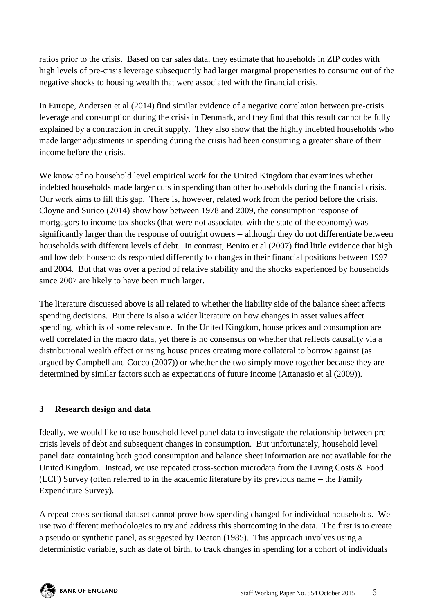ratios prior to the crisis. Based on car sales data, they estimate that households in ZIP codes with high levels of pre-crisis leverage subsequently had larger marginal propensities to consume out of the negative shocks to housing wealth that were associated with the financial crisis.

In Europe, Andersen et al (2014) find similar evidence of a negative correlation between pre-crisis leverage and consumption during the crisis in Denmark, and they find that this result cannot be fully explained by a contraction in credit supply. They also show that the highly indebted households who made larger adjustments in spending during the crisis had been consuming a greater share of their income before the crisis.

We know of no household level empirical work for the United Kingdom that examines whether indebted households made larger cuts in spending than other households during the financial crisis. Our work aims to fill this gap. There is, however, related work from the period before the crisis. Cloyne and Surico (2014) show how between 1978 and 2009, the consumption response of mortgagors to income tax shocks (that were not associated with the state of the economy) was significantly larger than the response of outright owners – although they do not differentiate between households with different levels of debt. In contrast, Benito et al (2007) find little evidence that high and low debt households responded differently to changes in their financial positions between 1997 and 2004. But that was over a period of relative stability and the shocks experienced by households since 2007 are likely to have been much larger.

The literature discussed above is all related to whether the liability side of the balance sheet affects spending decisions. But there is also a wider literature on how changes in asset values affect spending, which is of some relevance. In the United Kingdom, house prices and consumption are well correlated in the macro data, yet there is no consensus on whether that reflects causality via a distributional wealth effect or rising house prices creating more collateral to borrow against (as argued by Campbell and Cocco (2007)) or whether the two simply move together because they are determined by similar factors such as expectations of future income (Attanasio et al (2009)).

# **3 Research design and data**

Ideally, we would like to use household level panel data to investigate the relationship between precrisis levels of debt and subsequent changes in consumption. But unfortunately, household level panel data containing both good consumption and balance sheet information are not available for the United Kingdom. Instead, we use repeated cross-section microdata from the Living Costs & Food (LCF) Survey (often referred to in the academic literature by its previous name – the Family Expenditure Survey).

A repeat cross-sectional dataset cannot prove how spending changed for individual households. We use two different methodologies to try and address this shortcoming in the data. The first is to create a pseudo or synthetic panel, as suggested by Deaton (1985). This approach involves using a deterministic variable, such as date of birth, to track changes in spending for a cohort of individuals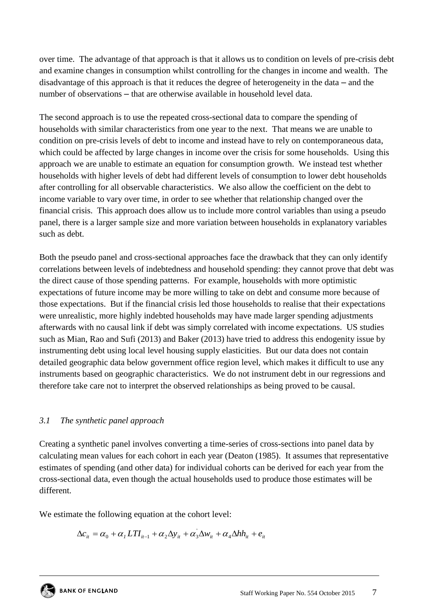over time. The advantage of that approach is that it allows us to condition on levels of pre-crisis debt and examine changes in consumption whilst controlling for the changes in income and wealth. The disadvantage of this approach is that it reduces the degree of heterogeneity in the data  $-$  and the number of observations – that are otherwise available in household level data.

The second approach is to use the repeated cross-sectional data to compare the spending of households with similar characteristics from one year to the next. That means we are unable to condition on pre-crisis levels of debt to income and instead have to rely on contemporaneous data, which could be affected by large changes in income over the crisis for some households. Using this approach we are unable to estimate an equation for consumption growth. We instead test whether households with higher levels of debt had different levels of consumption to lower debt households after controlling for all observable characteristics. We also allow the coefficient on the debt to income variable to vary over time, in order to see whether that relationship changed over the financial crisis. This approach does allow us to include more control variables than using a pseudo panel, there is a larger sample size and more variation between households in explanatory variables such as debt.

Both the pseudo panel and cross-sectional approaches face the drawback that they can only identify correlations between levels of indebtedness and household spending: they cannot prove that debt was the direct cause of those spending patterns. For example, households with more optimistic expectations of future income may be more willing to take on debt and consume more because of those expectations. But if the financial crisis led those households to realise that their expectations were unrealistic, more highly indebted households may have made larger spending adjustments afterwards with no causal link if debt was simply correlated with income expectations. US studies such as Mian, Rao and Sufi (2013) and Baker (2013) have tried to address this endogenity issue by instrumenting debt using local level housing supply elasticities. But our data does not contain detailed geographic data below government office region level, which makes it difficult to use any instruments based on geographic characteristics. We do not instrument debt in our regressions and therefore take care not to interpret the observed relationships as being proved to be causal.

# *3.1 The synthetic panel approach*

Creating a synthetic panel involves converting a time-series of cross-sections into panel data by calculating mean values for each cohort in each year (Deaton (1985). It assumes that representative estimates of spending (and other data) for individual cohorts can be derived for each year from the cross-sectional data, even though the actual households used to produce those estimates will be different.

We estimate the following equation at the cohort level:

$$
\Delta c_{it} = \alpha_0 + \alpha_1 L T I_{it-1} + \alpha_2 \Delta y_{it} + \alpha_3 \Delta w_{it} + \alpha_4 \Delta h h_{it} + e_{it}
$$

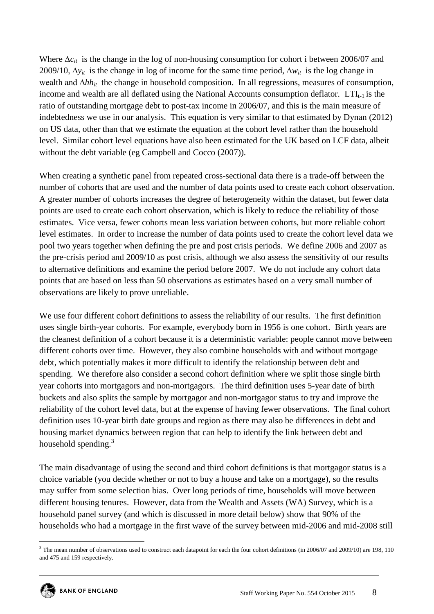Where  $\Delta c_i$  is the change in the log of non-housing consumption for cohort i between 2006/07 and 2009/10, ∆*yit* is the change in log of income for the same time period, ∆*wit* is the log change in wealth and ∆*hh*<sub>*it*</sub> the change in household composition. In all regressions, measures of consumption, income and wealth are all deflated using the National Accounts consumption deflator.  $LTI_{t-1}$  is the ratio of outstanding mortgage debt to post-tax income in 2006/07, and this is the main measure of indebtedness we use in our analysis. This equation is very similar to that estimated by Dynan (2012) on US data, other than that we estimate the equation at the cohort level rather than the household level. Similar cohort level equations have also been estimated for the UK based on LCF data, albeit without the debt variable (eg Campbell and Cocco (2007)).

When creating a synthetic panel from repeated cross-sectional data there is a trade-off between the number of cohorts that are used and the number of data points used to create each cohort observation. A greater number of cohorts increases the degree of heterogeneity within the dataset, but fewer data points are used to create each cohort observation, which is likely to reduce the reliability of those estimates. Vice versa, fewer cohorts mean less variation between cohorts, but more reliable cohort level estimates. In order to increase the number of data points used to create the cohort level data we pool two years together when defining the pre and post crisis periods. We define 2006 and 2007 as the pre-crisis period and 2009/10 as post crisis, although we also assess the sensitivity of our results to alternative definitions and examine the period before 2007. We do not include any cohort data points that are based on less than 50 observations as estimates based on a very small number of observations are likely to prove unreliable.

We use four different cohort definitions to assess the reliability of our results. The first definition uses single birth-year cohorts. For example, everybody born in 1956 is one cohort. Birth years are the cleanest definition of a cohort because it is a deterministic variable: people cannot move between different cohorts over time. However, they also combine households with and without mortgage debt, which potentially makes it more difficult to identify the relationship between debt and spending. We therefore also consider a second cohort definition where we split those single birth year cohorts into mortgagors and non-mortgagors. The third definition uses 5-year date of birth buckets and also splits the sample by mortgagor and non-mortgagor status to try and improve the reliability of the cohort level data, but at the expense of having fewer observations. The final cohort definition uses 10-year birth date groups and region as there may also be differences in debt and housing market dynamics between region that can help to identify the link between debt and household spending.<sup>3</sup>

The main disadvantage of using the second and third cohort definitions is that mortgagor status is a choice variable (you decide whether or not to buy a house and take on a mortgage), so the results may suffer from some selection bias. Over long periods of time, households will move between different housing tenures. However, data from the Wealth and Assets (WA) Survey, which is a household panel survey (and which is discussed in more detail below) show that 90% of the households who had a mortgage in the first wave of the survey between mid-2006 and mid-2008 still

 $3$  The mean number of observations used to construct each datapoint for each the four cohort definitions (in 2006/07 and 2009/10) are 198, 110 and 475 and 159 respectively.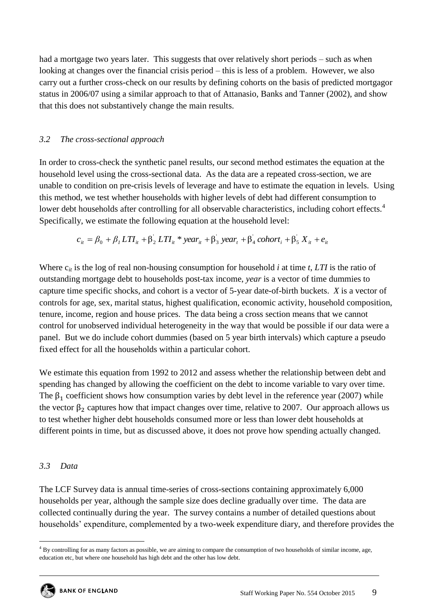had a mortgage two years later. This suggests that over relatively short periods – such as when looking at changes over the financial crisis period – this is less of a problem. However, we also carry out a further cross-check on our results by defining cohorts on the basis of predicted mortgagor status in 2006/07 using a similar approach to that of Attanasio, Banks and Tanner (2002), and show that this does not substantively change the main results.

# *3.2 The cross-sectional approach*

In order to cross-check the synthetic panel results, our second method estimates the equation at the household level using the cross-sectional data. As the data are a repeated cross-section, we are unable to condition on pre-crisis levels of leverage and have to estimate the equation in levels. Using this method, we test whether households with higher levels of debt had different consumption to lower debt households after controlling for all observable characteristics, including cohort effects.<sup>4</sup> Specifically, we estimate the following equation at the household level:

$$
c_{ii} = \beta_0 + \beta_1 LTI_{it} + \beta_2 LTI_{it} * year_{it} + \beta_3 year_t + \beta_4 cohort_i + \beta_5 X_{it} + e_{it}
$$

Where c*it* is the log of real non-housing consumption for household *i* at time *t*, *LTI* is the ratio of outstanding mortgage debt to households post-tax income, *year* is a vector of time dummies to capture time specific shocks, and cohort is a vector of 5-year date-of-birth buckets. *X* is a vector of controls for age, sex, marital status, highest qualification, economic activity, household composition, tenure, income, region and house prices. The data being a cross section means that we cannot control for unobserved individual heterogeneity in the way that would be possible if our data were a panel. But we do include cohort dummies (based on 5 year birth intervals) which capture a pseudo fixed effect for all the households within a particular cohort.

We estimate this equation from 1992 to 2012 and assess whether the relationship between debt and spending has changed by allowing the coefficient on the debt to income variable to vary over time. The  $\beta_1$  coefficient shows how consumption varies by debt level in the reference year (2007) while the vector  $\beta_2$  captures how that impact changes over time, relative to 2007. Our approach allows us to test whether higher debt households consumed more or less than lower debt households at different points in time, but as discussed above, it does not prove how spending actually changed.

# *3.3 Data*

1

The LCF Survey data is annual time-series of cross-sections containing approximately 6,000 households per year, although the sample size does decline gradually over time. The data are collected continually during the year. The survey contains a number of detailed questions about households' expenditure, complemented by a two-week expenditure diary, and therefore provides the

<sup>&</sup>lt;sup>4</sup> By controlling for as many factors as possible, we are aiming to compare the consumption of two households of similar income, age, education etc, but where one household has high debt and the other has low debt.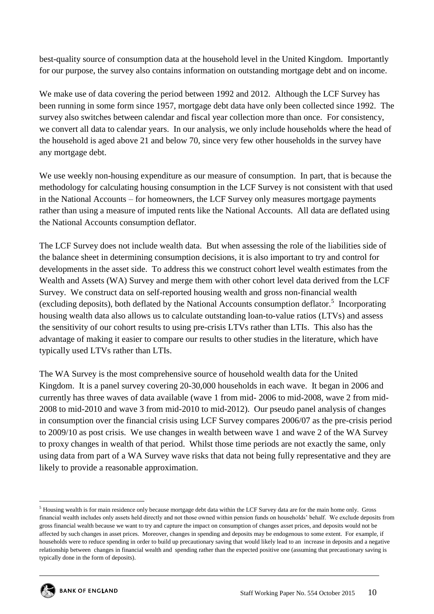best-quality source of consumption data at the household level in the United Kingdom. Importantly for our purpose, the survey also contains information on outstanding mortgage debt and on income.

We make use of data covering the period between 1992 and 2012. Although the LCF Survey has been running in some form since 1957, mortgage debt data have only been collected since 1992. The survey also switches between calendar and fiscal year collection more than once. For consistency, we convert all data to calendar years. In our analysis, we only include households where the head of the household is aged above 21 and below 70, since very few other households in the survey have any mortgage debt.

We use weekly non-housing expenditure as our measure of consumption. In part, that is because the methodology for calculating housing consumption in the LCF Survey is not consistent with that used in the National Accounts – for homeowners, the LCF Survey only measures mortgage payments rather than using a measure of imputed rents like the National Accounts. All data are deflated using the National Accounts consumption deflator.

The LCF Survey does not include wealth data. But when assessing the role of the liabilities side of the balance sheet in determining consumption decisions, it is also important to try and control for developments in the asset side. To address this we construct cohort level wealth estimates from the Wealth and Assets (WA) Survey and merge them with other cohort level data derived from the LCF Survey. We construct data on self-reported housing wealth and gross non-financial wealth (excluding deposits), both deflated by the National Accounts consumption deflator.<sup>5</sup> Incorporating housing wealth data also allows us to calculate outstanding loan-to-value ratios (LTVs) and assess the sensitivity of our cohort results to using pre-crisis LTVs rather than LTIs. This also has the advantage of making it easier to compare our results to other studies in the literature, which have typically used LTVs rather than LTIs.

The WA Survey is the most comprehensive source of household wealth data for the United Kingdom. It is a panel survey covering 20-30,000 households in each wave. It began in 2006 and currently has three waves of data available (wave 1 from mid- 2006 to mid-2008, wave 2 from mid-2008 to mid-2010 and wave 3 from mid-2010 to mid-2012). Our pseudo panel analysis of changes in consumption over the financial crisis using LCF Survey compares 2006/07 as the pre-crisis period to 2009/10 as post crisis. We use changes in wealth between wave 1 and wave 2 of the WA Survey to proxy changes in wealth of that period. Whilst those time periods are not exactly the same, only using data from part of a WA Survey wave risks that data not being fully representative and they are likely to provide a reasonable approximation.

 $<sup>5</sup>$  Housing wealth is for main residence only because mortgage debt data within the LCF Survey data are for the main home only. Gross</sup> financial wealth includes only assets held directly and not those owned within pension funds on households' behalf. We exclude deposits from gross financial wealth because we want to try and capture the impact on consumption of changes asset prices, and deposits would not be affected by such changes in asset prices. Moreover, changes in spending and deposits may be endogenous to some extent. For example, if households were to reduce spending in order to build up precautionary saving that would likely lead to an increase in deposits and a negative relationship between changes in financial wealth and spending rather than the expected positive one (assuming that precautionary saving is typically done in the form of deposits).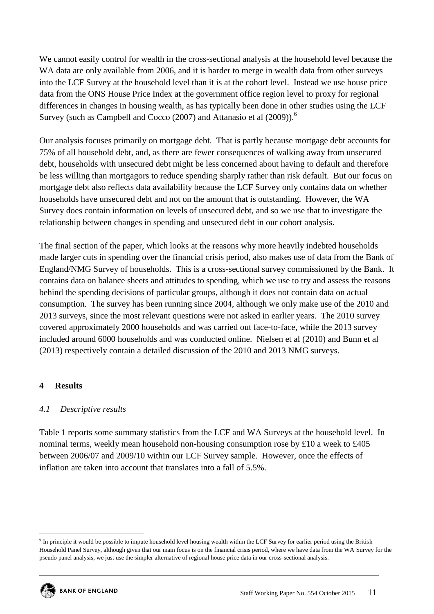We cannot easily control for wealth in the cross-sectional analysis at the household level because the WA data are only available from 2006, and it is harder to merge in wealth data from other surveys into the LCF Survey at the household level than it is at the cohort level. Instead we use house price data from the ONS House Price Index at the government office region level to proxy for regional differences in changes in housing wealth, as has typically been done in other studies using the LCF Survey (such as Campbell and Cocco (2007) and Attanasio et al (2009)).<sup>6</sup>

Our analysis focuses primarily on mortgage debt. That is partly because mortgage debt accounts for 75% of all household debt, and, as there are fewer consequences of walking away from unsecured debt, households with unsecured debt might be less concerned about having to default and therefore be less willing than mortgagors to reduce spending sharply rather than risk default. But our focus on mortgage debt also reflects data availability because the LCF Survey only contains data on whether households have unsecured debt and not on the amount that is outstanding. However, the WA Survey does contain information on levels of unsecured debt, and so we use that to investigate the relationship between changes in spending and unsecured debt in our cohort analysis.

The final section of the paper, which looks at the reasons why more heavily indebted households made larger cuts in spending over the financial crisis period, also makes use of data from the Bank of England/NMG Survey of households. This is a cross-sectional survey commissioned by the Bank. It contains data on balance sheets and attitudes to spending, which we use to try and assess the reasons behind the spending decisions of particular groups, although it does not contain data on actual consumption. The survey has been running since 2004, although we only make use of the 2010 and 2013 surveys, since the most relevant questions were not asked in earlier years. The 2010 survey covered approximately 2000 households and was carried out face-to-face, while the 2013 survey included around 6000 households and was conducted online. Nielsen et al (2010) and Bunn et al (2013) respectively contain a detailed discussion of the 2010 and 2013 NMG surveys.

# **4 Results**

1

# *4.1 Descriptive results*

Table 1 reports some summary statistics from the LCF and WA Surveys at the household level. In nominal terms, weekly mean household non-housing consumption rose by £10 a week to £405 between 2006/07 and 2009/10 within our LCF Survey sample. However, once the effects of inflation are taken into account that translates into a fall of 5.5%.

 $<sup>6</sup>$  In principle it would be possible to impute household level housing wealth within the LCF Survey for earlier period using the British</sup> Household Panel Survey, although given that our main focus is on the financial crisis period, where we have data from the WA Survey for the pseudo panel analysis, we just use the simpler alternative of regional house price data in our cross-sectional analysis.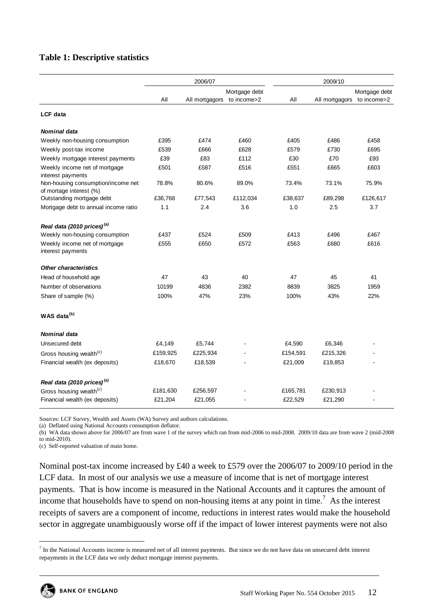#### **Table 1: Descriptive statistics**

|                                                               |          | 2006/07        |                              |          | 2009/10        |                              |  |
|---------------------------------------------------------------|----------|----------------|------------------------------|----------|----------------|------------------------------|--|
|                                                               | All      | All mortgagors | Mortgage debt<br>to income>2 | All      | All mortgagors | Mortgage debt<br>to income>2 |  |
| <b>LCF</b> data                                               |          |                |                              |          |                |                              |  |
| Nominal data                                                  |          |                |                              |          |                |                              |  |
| Weekly non-housing consumption                                | £395     | £474           | £460                         | £405     | £486           | £458                         |  |
| Weekly post-tax income                                        | £539     | £666           | £628                         | £579     | £730           | £695                         |  |
| Weekly mortgage interest payments                             | £39      | £83            | £112                         | £30      | £70            | £93                          |  |
| Weekly income net of mortgage<br>interest payments            | £501     | £587           | £516                         | £551     | £665           | £603                         |  |
| Non-housing consumption/income net<br>of mortage interest (%) | 78.8%    | 80.6%          | 89.0%                        | 73.4%    | 73.1%          | 75.9%                        |  |
| Outstanding mortgage debt                                     | £36,768  | £77,543        | £112,034                     | £38,637  | £89,298        | £126,617                     |  |
| Mortgage debt to annual income ratio                          | 1.1      | 2.4            | 3.6                          | 1.0      | 2.5            | 3.7                          |  |
| Real data (2010 prices) <sup>(a)</sup>                        |          |                |                              |          |                |                              |  |
| Weekly non-housing consumption                                | £437     | £524           | £509                         | £413     | £496           | £467                         |  |
| Weekly income net of mortgage<br>interest payments            | £555     | £650           | £572                         | £563     | £680           | £616                         |  |
| <b>Other characteristics</b>                                  |          |                |                              |          |                |                              |  |
| Head of household age                                         | 47       | 43             | 40                           | 47       | 45             | 41                           |  |
| Number of observations                                        | 10199    | 4836           | 2382                         | 8839     | 3825           | 1959                         |  |
| Share of sample (%)                                           | 100%     | 47%            | 23%                          | 100%     | 43%            | 22%                          |  |
| WAS data <sup>(b)</sup>                                       |          |                |                              |          |                |                              |  |
| Nominal data                                                  |          |                |                              |          |                |                              |  |
| Unsecured debt                                                | £4,149   | £5,744         |                              | £4,590   | £6,346         |                              |  |
| Gross housing wealth <sup>(c)</sup>                           | £159,925 | £225,934       |                              | £154,591 | £215,326       |                              |  |
| Financial wealth (ex deposits)                                | £18,670  | £18,539        |                              | £21,009  | £19,853        |                              |  |
| Real data (2010 prices) <sup>(a)</sup>                        |          |                |                              |          |                |                              |  |
| Gross housing wealth <sup>(c)</sup>                           | £181,630 | £256,597       |                              | £165,781 | £230,913       |                              |  |
| Financial wealth (ex deposits)                                | £21,204  | £21,055        |                              | £22,529  | £21,290        |                              |  |

Sources: LCF Survey, Wealth and Assets (WA) Survey and authors calculations.

(a) Deflated using National Accounts consumption deflator.

(b) WA data shown above for 2006/07 are from wave 1 of the survey which ran from mid-2006 to mid-2008. 2009/10 data are from wave 2 (mid-2008 to mid-2010).

(c) Self-reported valuation of main home.

Nominal post-tax income increased by £40 a week to £579 over the 2006/07 to 2009/10 period in the LCF data. In most of our analysis we use a measure of income that is net of mortgage interest payments. That is how income is measured in the National Accounts and it captures the amount of income that households have to spend on non-housing items at any point in time.<sup>7</sup> As the interest receipts of savers are a component of income, reductions in interest rates would make the household sector in aggregate unambiguously worse off if the impact of lower interest payments were not also

 $<sup>7</sup>$  In the National Accounts income is measured net of all interest payments. But since we do not have data on unsecured debt interest</sup> repayments in the LCF data we only deduct mortgage interest payments.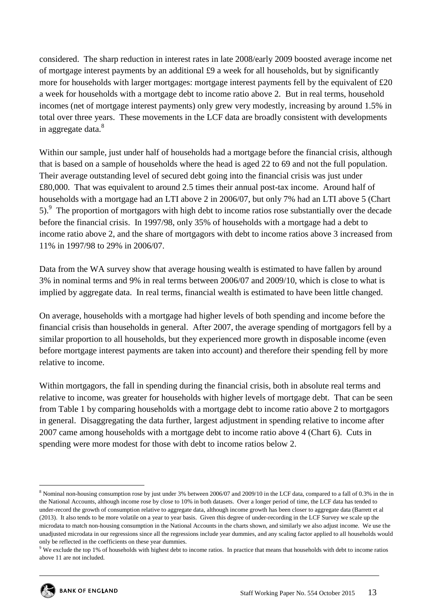considered. The sharp reduction in interest rates in late 2008/early 2009 boosted average income net of mortgage interest payments by an additional £9 a week for all households, but by significantly more for households with larger mortgages: mortgage interest payments fell by the equivalent of £20 a week for households with a mortgage debt to income ratio above 2. But in real terms, household incomes (net of mortgage interest payments) only grew very modestly, increasing by around 1.5% in total over three years. These movements in the LCF data are broadly consistent with developments in aggregate data. $8$ 

Within our sample, just under half of households had a mortgage before the financial crisis, although that is based on a sample of households where the head is aged 22 to 69 and not the full population. Their average outstanding level of secured debt going into the financial crisis was just under £80,000. That was equivalent to around 2.5 times their annual post-tax income. Around half of households with a mortgage had an LTI above 2 in 2006/07, but only 7% had an LTI above 5 (Chart 5).<sup>9</sup> The proportion of mortgagors with high debt to income ratios rose substantially over the decade before the financial crisis. In 1997/98, only 35% of households with a mortgage had a debt to income ratio above 2, and the share of mortgagors with debt to income ratios above 3 increased from 11% in 1997/98 to 29% in 2006/07.

Data from the WA survey show that average housing wealth is estimated to have fallen by around 3% in nominal terms and 9% in real terms between 2006/07 and 2009/10, which is close to what is implied by aggregate data. In real terms, financial wealth is estimated to have been little changed.

On average, households with a mortgage had higher levels of both spending and income before the financial crisis than households in general. After 2007, the average spending of mortgagors fell by a similar proportion to all households, but they experienced more growth in disposable income (even before mortgage interest payments are taken into account) and therefore their spending fell by more relative to income.

Within mortgagors, the fall in spending during the financial crisis, both in absolute real terms and relative to income, was greater for households with higher levels of mortgage debt. That can be seen from Table 1 by comparing households with a mortgage debt to income ratio above 2 to mortgagors in general. Disaggregating the data further, largest adjustment in spending relative to income after 2007 came among households with a mortgage debt to income ratio above 4 (Chart 6). Cuts in spending were more modest for those with debt to income ratios below 2.

<sup>&</sup>lt;sup>8</sup> Nominal non-housing consumption rose by just under 3% between 2006/07 and 2009/10 in the LCF data, compared to a fall of 0.3% in the in the National Accounts, although income rose by close to 10% in both datasets. Over a longer period of time, the LCF data has tended to under-record the growth of consumption relative to aggregate data, although income growth has been closer to aggregate data (Barrett et al (2013). It also tends to be more volatile on a year to year basis. Given this degree of under-recording in the LCF Survey we scale up the microdata to match non-housing consumption in the National Accounts in the charts shown, and similarly we also adjust income. We use the unadjusted microdata in our regressions since all the regressions include year dummies, and any scaling factor applied to all households would only be reflected in the coefficients on these year dummies.

 $9$  We exclude the top 1% of households with highest debt to income ratios. In practice that means that households with debt to income ratios above 11 are not included.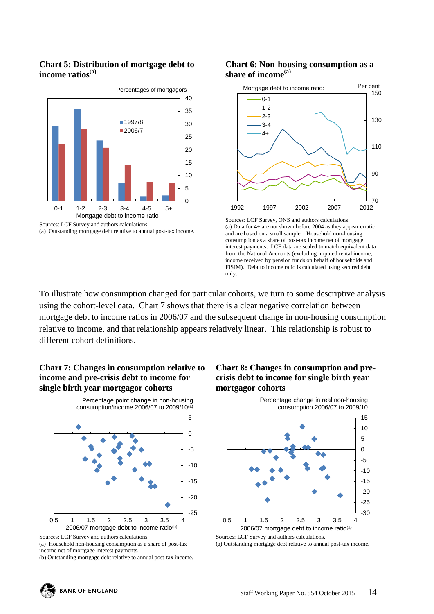

#### **Chart 5: Distribution of mortgage debt to income ratios(a)**



# **Chart 6: Non-housing consumption as a share of income(a)**



Sources: LCF Survey, ONS and authors calculations. (a) Data for 4+ are not shown before 2004 as they appear erratic and are based on a small sample. Household non-housing consumption as a share of post-tax income net of mortgage interest payments. LCF data are scaled to match equivalent data from the National Accounts (excluding imputed rental income, income received by pension funds on behalf of households and FISIM). Debt to income ratio is calculated using secured debt only.

To illustrate how consumption changed for particular cohorts, we turn to some descriptive analysis using the cohort-level data. Chart 7 shows that there is a clear negative correlation between mortgage debt to income ratios in 2006/07 and the subsequent change in non-housing consumption relative to income, and that relationship appears relatively linear. This relationship is robust to different cohort definitions.

# **Chart 7: Changes in consumption relative to income and pre-crisis debt to income for single birth year mortgagor cohorts**



Sources: LCF Survey and authors calculations. (a) Household non-housing consumption as a share of post-tax income net of mortgage interest payments.

(b) Outstanding mortgage debt relative to annual post-tax income.

# **Chart 8: Changes in consumption and precrisis debt to income for single birth year mortgagor cohorts**



(a) Outstanding mortgage debt relative to annual post-tax income.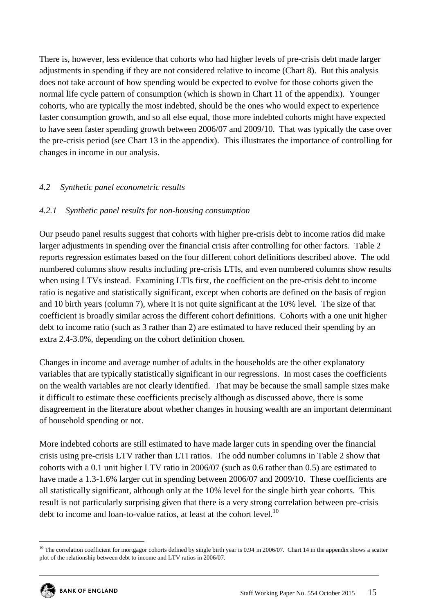There is, however, less evidence that cohorts who had higher levels of pre-crisis debt made larger adjustments in spending if they are not considered relative to income (Chart 8). But this analysis does not take account of how spending would be expected to evolve for those cohorts given the normal life cycle pattern of consumption (which is shown in Chart 11 of the appendix). Younger cohorts, who are typically the most indebted, should be the ones who would expect to experience faster consumption growth, and so all else equal, those more indebted cohorts might have expected to have seen faster spending growth between 2006/07 and 2009/10. That was typically the case over the pre-crisis period (see Chart 13 in the appendix). This illustrates the importance of controlling for changes in income in our analysis.

# *4.2 Synthetic panel econometric results*

# *4.2.1 Synthetic panel results for non-housing consumption*

Our pseudo panel results suggest that cohorts with higher pre-crisis debt to income ratios did make larger adjustments in spending over the financial crisis after controlling for other factors. Table 2 reports regression estimates based on the four different cohort definitions described above. The odd numbered columns show results including pre-crisis LTIs, and even numbered columns show results when using LTVs instead. Examining LTIs first, the coefficient on the pre-crisis debt to income ratio is negative and statistically significant, except when cohorts are defined on the basis of region and 10 birth years (column 7), where it is not quite significant at the 10% level. The size of that coefficient is broadly similar across the different cohort definitions. Cohorts with a one unit higher debt to income ratio (such as 3 rather than 2) are estimated to have reduced their spending by an extra 2.4-3.0%, depending on the cohort definition chosen.

Changes in income and average number of adults in the households are the other explanatory variables that are typically statistically significant in our regressions. In most cases the coefficients on the wealth variables are not clearly identified. That may be because the small sample sizes make it difficult to estimate these coefficients precisely although as discussed above, there is some disagreement in the literature about whether changes in housing wealth are an important determinant of household spending or not.

More indebted cohorts are still estimated to have made larger cuts in spending over the financial crisis using pre-crisis LTV rather than LTI ratios. The odd number columns in Table 2 show that cohorts with a 0.1 unit higher LTV ratio in 2006/07 (such as 0.6 rather than 0.5) are estimated to have made a 1.3-1.6% larger cut in spending between 2006/07 and 2009/10. These coefficients are all statistically significant, although only at the 10% level for the single birth year cohorts. This result is not particularly surprising given that there is a very strong correlation between pre-crisis debt to income and loan-to-value ratios, at least at the cohort level.<sup>10</sup>

<sup>&</sup>lt;sup>10</sup> The correlation coefficient for mortgagor cohorts defined by single birth year is  $0.94$  in  $2006/07$ . Chart 14 in the appendix shows a scatter plot of the relationship between debt to income and LTV ratios in 2006/07.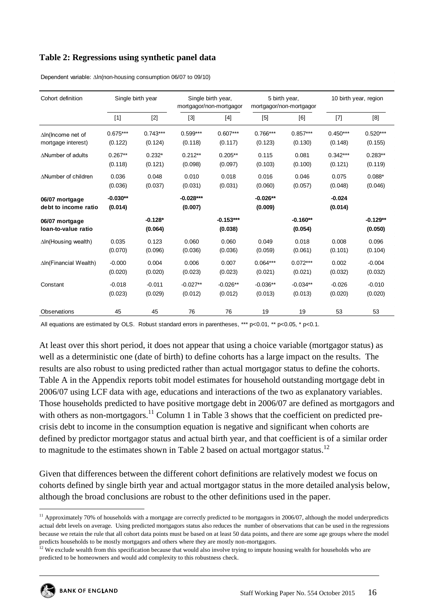# **Table 2: Regressions using synthetic panel data**

| Cohort definition                      |                       | Single birth year<br>Single birth year,<br>mortgagor/non-mortgagor |                        | 5 birth year,<br>mortgagor/non-mortgagor |                       | 10 birth year, region |                     |                       |
|----------------------------------------|-----------------------|--------------------------------------------------------------------|------------------------|------------------------------------------|-----------------------|-----------------------|---------------------|-----------------------|
|                                        | $[1]$                 | $[2]$                                                              | $[3]$                  | [4]                                      | $[5]$                 | [6]                   | $[7]$               | [8]                   |
| $\Delta$ In(Income net of              | $0.675***$            | $0.743***$                                                         | $0.599***$             | $0.607***$                               | $0.766***$            | $0.857***$            | $0.450***$          | $0.520***$            |
| mortgage interest)                     | (0.122)               | (0.124)                                                            | (0.118)                | (0.117)                                  | (0.123)               | (0.130)               | (0.148)             | (0.155)               |
| $\triangle$ Number of adults           | $0.267**$             | $0.232*$                                                           | $0.212**$              | $0.205**$                                | 0.115                 | 0.081                 | $0.342***$          | $0.283**$             |
|                                        | (0.118)               | (0.121)                                                            | (0.098)                | (0.097)                                  | (0.103)               | (0.100)               | (0.121)             | (0.119)               |
| ∆Number of children                    | 0.036                 | 0.048                                                              | 0.010                  | 0.018                                    | 0.016                 | 0.046                 | 0.075               | $0.088*$              |
|                                        | (0.036)               | (0.037)                                                            | (0.031)                | (0.031)                                  | (0.060)               | (0.057)               | (0.048)             | (0.046)               |
| 06/07 mortgage<br>debt to income ratio | $-0.030**$<br>(0.014) |                                                                    | $-0.028***$<br>(0.007) |                                          | $-0.026**$<br>(0.009) |                       | $-0.024$<br>(0.014) |                       |
| 06/07 mortgage<br>loan-to-value ratio  |                       | $-0.128*$<br>(0.064)                                               |                        | $-0.153***$<br>(0.038)                   |                       | $-0.160**$<br>(0.054) |                     | $-0.129**$<br>(0.050) |
| $\Delta$ In(Housing wealth)            | 0.035                 | 0.123                                                              | 0.060                  | 0.060                                    | 0.049                 | 0.018                 | 0.008               | 0.096                 |
|                                        | (0.070)               | (0.096)                                                            | (0.036)                | (0.036)                                  | (0.059)               | (0.061)               | (0.101)             | (0.104)               |
| ∆In(Financial Wealth)                  | $-0.000$              | 0.004                                                              | 0.006                  | 0.007                                    | $0.064***$            | $0.072***$            | 0.002               | $-0.004$              |
|                                        | (0.020)               | (0.020)                                                            | (0.023)                | (0.023)                                  | (0.021)               | (0.021)               | (0.032)             | (0.032)               |
| Constant                               | $-0.018$              | $-0.011$                                                           | $-0.027**$             | $-0.026**$                               | $-0.036**$            | $-0.034**$            | $-0.026$            | $-0.010$              |
|                                        | (0.023)               | (0.029)                                                            | (0.012)                | (0.012)                                  | (0.013)               | (0.013)               | (0.020)             | (0.020)               |
| Observations                           | 45                    | 45                                                                 | 76                     | 76                                       | 19                    | 19                    | 53                  | 53                    |

Dependent variable: ∆ln(non-housing consumption 06/07 to 09/10)

All equations are estimated by OLS. Robust standard errors in parentheses, \*\*\*  $p<0.01$ , \*\*  $p<0.05$ , \*  $p<0.1$ .

At least over this short period, it does not appear that using a choice variable (mortgagor status) as well as a deterministic one (date of birth) to define cohorts has a large impact on the results. The results are also robust to using predicted rather than actual mortgagor status to define the cohorts. Table A in the Appendix reports tobit model estimates for household outstanding mortgage debt in 2006/07 using LCF data with age, educations and interactions of the two as explanatory variables. Those households predicted to have positive mortgage debt in 2006/07 are defined as mortgagors and with others as non-mortgagors.<sup>11</sup> Column 1 in Table 3 shows that the coefficient on predicted precrisis debt to income in the consumption equation is negative and significant when cohorts are defined by predictor mortgagor status and actual birth year, and that coefficient is of a similar order to magnitude to the estimates shown in Table 2 based on actual mortgagor status.<sup>12</sup>

Given that differences between the different cohort definitions are relatively modest we focus on cohorts defined by single birth year and actual mortgagor status in the more detailed analysis below, although the broad conclusions are robust to the other definitions used in the paper.

 $11$  Approximately 70% of households with a mortgage are correctly predicted to be mortgagors in 2006/07, although the model underpredicts actual debt levels on average. Using predicted mortgagors status also reduces the number of observations that can be used in the regressions because we retain the rule that all cohort data points must be based on at least 50 data points, and there are some age groups where the model predicts households to be mostly mortgagors and others where they are mostly non-mortgagors.

<sup>&</sup>lt;sup>12</sup> We exclude wealth from this specification because that would also involve trying to impute housing wealth for households who are predicted to be homeowners and would add complexity to this robustness check.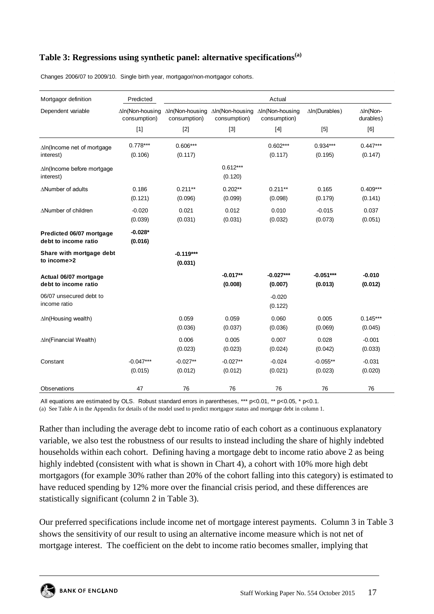# **Table 3: Regressions using synthetic panel: alternative specifications(a)**

| Mortgagor definition                             | Predicted                               |                                         |                                         | Actual                                  |                        |                               |
|--------------------------------------------------|-----------------------------------------|-----------------------------------------|-----------------------------------------|-----------------------------------------|------------------------|-------------------------------|
| Dependent variable                               | $\Delta$ In(Non-housing<br>consumption) | $\Delta$ In(Non-housing<br>consumption) | $\Delta$ In(Non-housing<br>consumption) | $\Delta$ In(Non-housing<br>consumption) | $\Delta$ In(Durables)  | $\Delta$ In(Non-<br>durables) |
|                                                  | $[1]$                                   | $[2]$                                   | $[3]$                                   | $[4]$                                   | $[5]$                  | [6]                           |
| $\Delta$ In(Income net of mortgage               | $0.778***$                              | $0.606***$                              |                                         | $0.602***$                              | $0.934***$             | $0.447***$                    |
| interest)                                        | (0.106)                                 | (0.117)                                 |                                         | (0.117)                                 | (0.195)                | (0.147)                       |
| ∆In(Income before mortgage<br>interest)          |                                         |                                         | $0.612***$<br>(0.120)                   |                                         |                        |                               |
| ∆Number of adults                                | 0.186<br>(0.121)                        | $0.211**$<br>(0.096)                    | $0.202**$<br>(0.099)                    | $0.211**$<br>(0.098)                    | 0.165<br>(0.179)       | $0.409***$<br>(0.141)         |
| ∆Number of children                              | $-0.020$<br>(0.039)                     | 0.021<br>(0.031)                        | 0.012<br>(0.031)                        | 0.010<br>(0.032)                        | $-0.015$<br>(0.073)    | 0.037<br>(0.051)              |
| Predicted 06/07 mortgage<br>debt to income ratio | $-0.028*$<br>(0.016)                    |                                         |                                         |                                         |                        |                               |
| Share with mortgage debt<br>to income>2          |                                         | $-0.119***$<br>(0.031)                  |                                         |                                         |                        |                               |
| Actual 06/07 mortgage<br>debt to income ratio    |                                         |                                         | $-0.017**$<br>(0.008)                   | $-0.027***$<br>(0.007)                  | $-0.051***$<br>(0.013) | $-0.010$<br>(0.012)           |
| 06/07 unsecured debt to<br>income ratio          |                                         |                                         |                                         | $-0.020$<br>(0.122)                     |                        |                               |
| ∆In(Housing wealth)                              |                                         | 0.059<br>(0.036)                        | 0.059<br>(0.037)                        | 0.060<br>(0.036)                        | 0.005<br>(0.069)       | $0.145***$<br>(0.045)         |
| ∆In(Financial Wealth)                            |                                         | 0.006<br>(0.023)                        | 0.005<br>(0.023)                        | 0.007<br>(0.024)                        | 0.028<br>(0.042)       | $-0.001$<br>(0.033)           |
| Constant                                         | $-0.047***$<br>(0.015)                  | $-0.027**$<br>(0.012)                   | $-0.027**$<br>(0.012)                   | $-0.024$<br>(0.021)                     | $-0.055**$<br>(0.023)  | $-0.031$<br>(0.020)           |
| Observations                                     | 47                                      | 76                                      | 76                                      | 76                                      | 76                     | 76                            |

Changes 2006/07 to 2009/10. Single birth year, mortgagor/non-mortgagor cohorts.

(a) See Table A in the Appendix for details of the model used to predict mortgagor status and mortgage debt in column 1. All equations are estimated by OLS. Robust standard errors in parentheses, \*\*\* p<0.01, \*\* p<0.05, \* p<0.1.

Rather than including the average debt to income ratio of each cohort as a continuous explanatory variable, we also test the robustness of our results to instead including the share of highly indebted households within each cohort. Defining having a mortgage debt to income ratio above 2 as being highly indebted (consistent with what is shown in Chart 4), a cohort with 10% more high debt mortgagors (for example 30% rather than 20% of the cohort falling into this category) is estimated to have reduced spending by 12% more over the financial crisis period, and these differences are statistically significant (column 2 in Table 3).

Our preferred specifications include income net of mortgage interest payments. Column 3 in Table 3 shows the sensitivity of our result to using an alternative income measure which is not net of mortgage interest. The coefficient on the debt to income ratio becomes smaller, implying that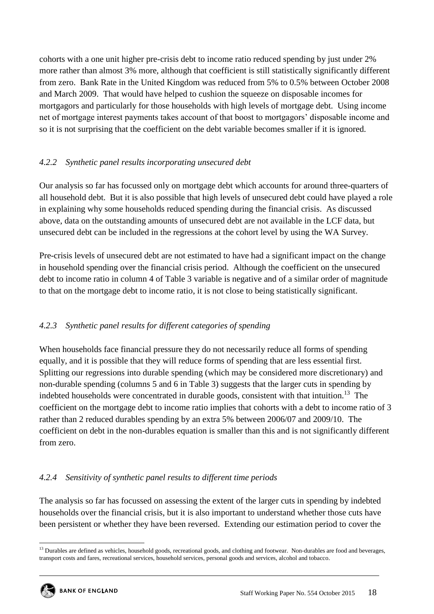cohorts with a one unit higher pre-crisis debt to income ratio reduced spending by just under 2% more rather than almost 3% more, although that coefficient is still statistically significantly different from zero. Bank Rate in the United Kingdom was reduced from 5% to 0.5% between October 2008 and March 2009. That would have helped to cushion the squeeze on disposable incomes for mortgagors and particularly for those households with high levels of mortgage debt. Using income net of mortgage interest payments takes account of that boost to mortgagors' disposable income and so it is not surprising that the coefficient on the debt variable becomes smaller if it is ignored.

# *4.2.2 Synthetic panel results incorporating unsecured debt*

Our analysis so far has focussed only on mortgage debt which accounts for around three-quarters of all household debt. But it is also possible that high levels of unsecured debt could have played a role in explaining why some households reduced spending during the financial crisis. As discussed above, data on the outstanding amounts of unsecured debt are not available in the LCF data, but unsecured debt can be included in the regressions at the cohort level by using the WA Survey.

Pre-crisis levels of unsecured debt are not estimated to have had a significant impact on the change in household spending over the financial crisis period. Although the coefficient on the unsecured debt to income ratio in column 4 of Table 3 variable is negative and of a similar order of magnitude to that on the mortgage debt to income ratio, it is not close to being statistically significant.

# *4.2.3 Synthetic panel results for different categories of spending*

When households face financial pressure they do not necessarily reduce all forms of spending equally, and it is possible that they will reduce forms of spending that are less essential first. Splitting our regressions into durable spending (which may be considered more discretionary) and non-durable spending (columns 5 and 6 in Table 3) suggests that the larger cuts in spending by indebted households were concentrated in durable goods, consistent with that intuition.<sup>13</sup> The coefficient on the mortgage debt to income ratio implies that cohorts with a debt to income ratio of 3 rather than 2 reduced durables spending by an extra 5% between 2006/07 and 2009/10. The coefficient on debt in the non-durables equation is smaller than this and is not significantly different from zero.

# *4.2.4 Sensitivity of synthetic panel results to different time periods*

The analysis so far has focussed on assessing the extent of the larger cuts in spending by indebted households over the financial crisis, but it is also important to understand whether those cuts have been persistent or whether they have been reversed. Extending our estimation period to cover the

<u>.</u>

<sup>&</sup>lt;sup>13</sup> Durables are defined as vehicles, household goods, recreational goods, and clothing and footwear. Non-durables are food and beverages, transport costs and fares, recreational services, household services, personal goods and services, alcohol and tobacco.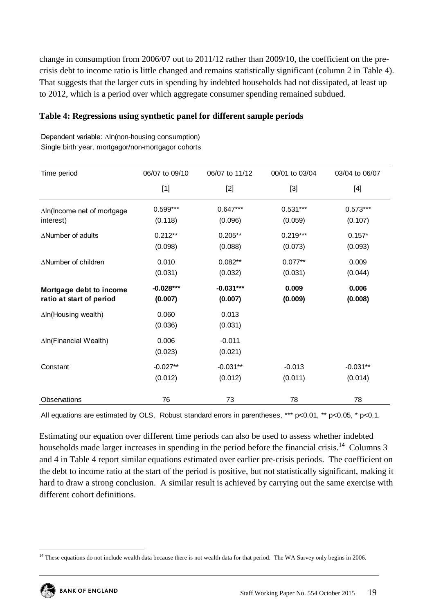change in consumption from 2006/07 out to 2011/12 rather than 2009/10, the coefficient on the precrisis debt to income ratio is little changed and remains statistically significant (column 2 in Table 4). That suggests that the larger cuts in spending by indebted households had not dissipated, at least up to 2012, which is a period over which aggregate consumer spending remained subdued.

# **Table 4: Regressions using synthetic panel for different sample periods**

| Time period                  | 06/07 to 09/10 | 06/07 to 11/12 | 00/01 to 03/04 | 03/04 to 06/07 |
|------------------------------|----------------|----------------|----------------|----------------|
|                              | $[1]$          | $[2]$          | $[3]$          | [4]            |
| ∆In(Income net of mortgage   | $0.599***$     | $0.647***$     | $0.531***$     | $0.573***$     |
| interest)                    | (0.118)        | (0.096)        | (0.059)        | (0.107)        |
| $\triangle$ Number of adults | $0.212**$      | $0.205**$      | $0.219***$     | $0.157*$       |
|                              | (0.098)        | (0.088)        | (0.073)        | (0.093)        |
| ANumber of children          | 0.010          | $0.082**$      | $0.077**$      | 0.009          |
|                              | (0.031)        | (0.032)        | (0.031)        | (0.044)        |
| Mortgage debt to income      | $-0.028***$    | $-0.031***$    | 0.009          | 0.006          |
| ratio at start of period     | (0.007)        | (0.007)        | (0.009)        | (0.008)        |
| $\Delta$ In(Housing wealth)  | 0.060          | 0.013          |                |                |
|                              | (0.036)        | (0.031)        |                |                |
| ∆In(Financial Wealth)        | 0.006          | $-0.011$       |                |                |
|                              | (0.023)        | (0.021)        |                |                |
| Constant                     | $-0.027**$     | $-0.031**$     | $-0.013$       | $-0.031**$     |
|                              | (0.012)        | (0.012)        | (0.011)        | (0.014)        |
|                              |                |                |                |                |
| Observations                 | 76             | 73             | 78             | 78             |

Dependent variable: ∆ln(non-housing consumption) Single birth year, mortgagor/non-mortgagor cohorts

All equations are estimated by OLS. Robust standard errors in parentheses, \*\*\* p<0.01, \*\* p<0.05, \* p<0.1.

Estimating our equation over different time periods can also be used to assess whether indebted households made larger increases in spending in the period before the financial crisis.<sup>14</sup> Columns 3 and 4 in Table 4 report similar equations estimated over earlier pre-crisis periods. The coefficient on the debt to income ratio at the start of the period is positive, but not statistically significant, making it hard to draw a strong conclusion. A similar result is achieved by carrying out the same exercise with different cohort definitions.

<sup>&</sup>lt;sup>14</sup> These equations do not include wealth data because there is not wealth data for that period. The WA Survey only begins in 2006.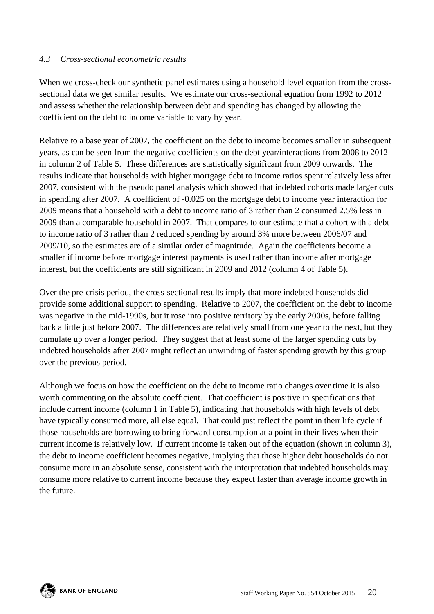# *4.3 Cross-sectional econometric results*

When we cross-check our synthetic panel estimates using a household level equation from the crosssectional data we get similar results. We estimate our cross-sectional equation from 1992 to 2012 and assess whether the relationship between debt and spending has changed by allowing the coefficient on the debt to income variable to vary by year.

Relative to a base year of 2007, the coefficient on the debt to income becomes smaller in subsequent years, as can be seen from the negative coefficients on the debt year/interactions from 2008 to 2012 in column 2 of Table 5. These differences are statistically significant from 2009 onwards. The results indicate that households with higher mortgage debt to income ratios spent relatively less after 2007, consistent with the pseudo panel analysis which showed that indebted cohorts made larger cuts in spending after 2007. A coefficient of -0.025 on the mortgage debt to income year interaction for 2009 means that a household with a debt to income ratio of 3 rather than 2 consumed 2.5% less in 2009 than a comparable household in 2007. That compares to our estimate that a cohort with a debt to income ratio of 3 rather than 2 reduced spending by around 3% more between 2006/07 and 2009/10, so the estimates are of a similar order of magnitude. Again the coefficients become a smaller if income before mortgage interest payments is used rather than income after mortgage interest, but the coefficients are still significant in 2009 and 2012 (column 4 of Table 5).

Over the pre-crisis period, the cross-sectional results imply that more indebted households did provide some additional support to spending. Relative to 2007, the coefficient on the debt to income was negative in the mid-1990s, but it rose into positive territory by the early 2000s, before falling back a little just before 2007. The differences are relatively small from one year to the next, but they cumulate up over a longer period. They suggest that at least some of the larger spending cuts by indebted households after 2007 might reflect an unwinding of faster spending growth by this group over the previous period.

Although we focus on how the coefficient on the debt to income ratio changes over time it is also worth commenting on the absolute coefficient. That coefficient is positive in specifications that include current income (column 1 in Table 5), indicating that households with high levels of debt have typically consumed more, all else equal. That could just reflect the point in their life cycle if those households are borrowing to bring forward consumption at a point in their lives when their current income is relatively low. If current income is taken out of the equation (shown in column 3), the debt to income coefficient becomes negative, implying that those higher debt households do not consume more in an absolute sense, consistent with the interpretation that indebted households may consume more relative to current income because they expect faster than average income growth in the future.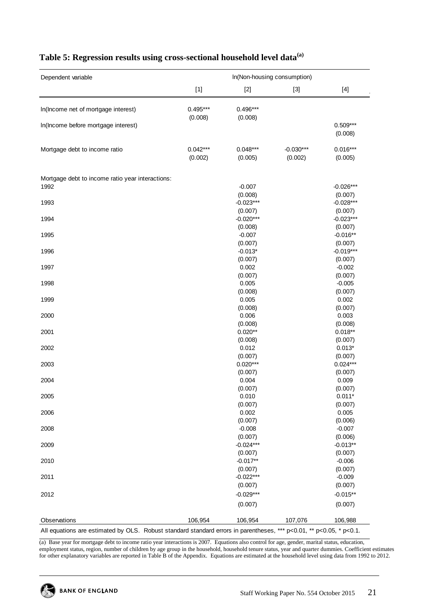| Dependent variable                                                                                                           | In(Non-housing consumption) |                        |                        |                        |  |  |
|------------------------------------------------------------------------------------------------------------------------------|-----------------------------|------------------------|------------------------|------------------------|--|--|
|                                                                                                                              | $[1]$                       | $[2]$                  | $[3]$                  | $[4]$                  |  |  |
| In(Income net of mortgage interest)                                                                                          | $0.495***$<br>(0.008)       | $0.496***$<br>(0.008)  |                        |                        |  |  |
| In(Income before mortgage interest)                                                                                          |                             |                        |                        | $0.509***$<br>(0.008)  |  |  |
| Mortgage debt to income ratio                                                                                                | $0.042***$<br>(0.002)       | $0.048***$<br>(0.005)  | $-0.030***$<br>(0.002) | $0.016***$<br>(0.005)  |  |  |
| Mortgage debt to income ratio year interactions:<br>1992                                                                     |                             | $-0.007$               |                        | $-0.026***$            |  |  |
|                                                                                                                              |                             | (0.008)                |                        | (0.007)                |  |  |
| 1993                                                                                                                         |                             | $-0.023***$<br>(0.007) |                        | $-0.028***$<br>(0.007) |  |  |
| 1994                                                                                                                         |                             | $-0.020***$            |                        | $-0.023***$            |  |  |
|                                                                                                                              |                             | (0.008)<br>$-0.007$    |                        | (0.007)<br>$-0.016**$  |  |  |
| 1995                                                                                                                         |                             | (0.007)                |                        | (0.007)                |  |  |
| 1996                                                                                                                         |                             | $-0.013*$              |                        | $-0.019***$            |  |  |
|                                                                                                                              |                             | (0.007)                |                        | (0.007)                |  |  |
| 1997                                                                                                                         |                             | 0.002<br>(0.007)       |                        | $-0.002$<br>(0.007)    |  |  |
| 1998                                                                                                                         |                             | 0.005                  |                        | $-0.005$               |  |  |
|                                                                                                                              |                             | (0.008)                |                        | (0.007)                |  |  |
| 1999                                                                                                                         |                             | 0.005                  |                        | 0.002                  |  |  |
|                                                                                                                              |                             | (0.008)                |                        | (0.007)                |  |  |
| 2000                                                                                                                         |                             | 0.006                  |                        | 0.003                  |  |  |
|                                                                                                                              |                             | (0.008)                |                        | (0.008)                |  |  |
| 2001                                                                                                                         |                             | $0.020**$              |                        | $0.018**$              |  |  |
|                                                                                                                              |                             | (0.008)<br>0.012       |                        | (0.007)<br>$0.013*$    |  |  |
| 2002                                                                                                                         |                             | (0.007)                |                        | (0.007)                |  |  |
| 2003                                                                                                                         |                             | $0.020***$             |                        | $0.024***$             |  |  |
|                                                                                                                              |                             | (0.007)                |                        | (0.007)                |  |  |
| 2004                                                                                                                         |                             | 0.004                  |                        | 0.009                  |  |  |
|                                                                                                                              |                             | (0.007)                |                        | (0.007)                |  |  |
| 2005                                                                                                                         |                             | 0.010                  |                        | $0.011*$               |  |  |
|                                                                                                                              |                             | (0.007)                |                        | (0.007)                |  |  |
| 2006                                                                                                                         |                             | 0.002<br>(0.007)       |                        | 0.005<br>(0.006)       |  |  |
| 2008                                                                                                                         |                             | $-0.008$               |                        | $-0.007$               |  |  |
|                                                                                                                              |                             | (0.007)                |                        | (0.006)                |  |  |
| 2009                                                                                                                         |                             | $-0.024***$            |                        | $-0.013**$             |  |  |
|                                                                                                                              |                             | (0.007)                |                        | (0.007)                |  |  |
| 2010                                                                                                                         |                             | $-0.017**$             |                        | $-0.006$               |  |  |
|                                                                                                                              |                             | (0.007)                |                        | (0.007)                |  |  |
| 2011                                                                                                                         |                             | $-0.022***$            |                        | $-0.009$               |  |  |
|                                                                                                                              |                             | (0.007)                |                        | (0.007)                |  |  |
| 2012                                                                                                                         |                             | $-0.029***$            |                        | $-0.015**$             |  |  |
|                                                                                                                              |                             | (0.007)                |                        | (0.007)                |  |  |
| Observations                                                                                                                 | 106,954                     | 106,954                | 107,076                | 106,988                |  |  |
| All equations are estimated by OLS. Robust standard standard errors in parentheses, *** $p<0.01$ , ** $p<0.05$ , * $p<0.1$ . |                             |                        |                        |                        |  |  |

# **Table 5: Regression results using cross-sectional household level data(a)**

(a) Base year for mortgage debt to income ratio year interactions is 2007. Equations also control for age, gender, marital status, education, employment status, region, number of children by age group in the household, household tenure status, year and quarter dummies. Coefficient estimates for other explanatory variables are reported in Table B of the Appendix. Equations are estimated at the household level using data from 1992 to 2012.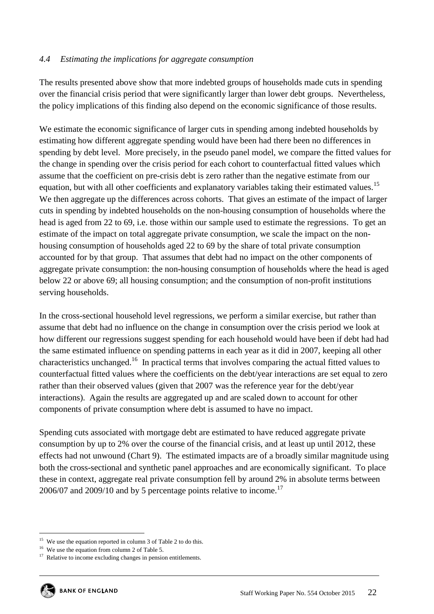# *4.4 Estimating the implications for aggregate consumption*

The results presented above show that more indebted groups of households made cuts in spending over the financial crisis period that were significantly larger than lower debt groups. Nevertheless, the policy implications of this finding also depend on the economic significance of those results.

We estimate the economic significance of larger cuts in spending among indebted households by estimating how different aggregate spending would have been had there been no differences in spending by debt level. More precisely, in the pseudo panel model, we compare the fitted values for the change in spending over the crisis period for each cohort to counterfactual fitted values which assume that the coefficient on pre-crisis debt is zero rather than the negative estimate from our equation, but with all other coefficients and explanatory variables taking their estimated values.<sup>15</sup> We then aggregate up the differences across cohorts. That gives an estimate of the impact of larger cuts in spending by indebted households on the non-housing consumption of households where the head is aged from 22 to 69, i.e. those within our sample used to estimate the regressions. To get an estimate of the impact on total aggregate private consumption, we scale the impact on the nonhousing consumption of households aged 22 to 69 by the share of total private consumption accounted for by that group. That assumes that debt had no impact on the other components of aggregate private consumption: the non-housing consumption of households where the head is aged below 22 or above 69; all housing consumption; and the consumption of non-profit institutions serving households.

In the cross-sectional household level regressions, we perform a similar exercise, but rather than assume that debt had no influence on the change in consumption over the crisis period we look at how different our regressions suggest spending for each household would have been if debt had had the same estimated influence on spending patterns in each year as it did in 2007, keeping all other characteristics unchanged.<sup>16</sup> In practical terms that involves comparing the actual fitted values to counterfactual fitted values where the coefficients on the debt/year interactions are set equal to zero rather than their observed values (given that 2007 was the reference year for the debt/year interactions). Again the results are aggregated up and are scaled down to account for other components of private consumption where debt is assumed to have no impact.

Spending cuts associated with mortgage debt are estimated to have reduced aggregate private consumption by up to 2% over the course of the financial crisis, and at least up until 2012, these effects had not unwound (Chart 9). The estimated impacts are of a broadly similar magnitude using both the cross-sectional and synthetic panel approaches and are economically significant. To place these in context, aggregate real private consumption fell by around 2% in absolute terms between  $2006/07$  and  $2009/10$  and by 5 percentage points relative to income.<sup>17</sup>

<sup>&</sup>lt;sup>15</sup> We use the equation reported in column 3 of Table 2 to do this.

<sup>&</sup>lt;sup>16</sup> We use the equation from column 2 of Table 5.

<sup>&</sup>lt;sup>17</sup> Relative to income excluding changes in pension entitlements.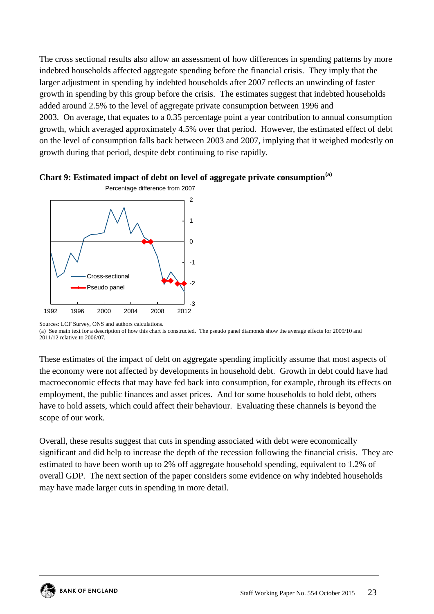The cross sectional results also allow an assessment of how differences in spending patterns by more indebted households affected aggregate spending before the financial crisis. They imply that the larger adjustment in spending by indebted households after 2007 reflects an unwinding of faster growth in spending by this group before the crisis. The estimates suggest that indebted households added around 2.5% to the level of aggregate private consumption between 1996 and 2003. On average, that equates to a 0.35 percentage point a year contribution to annual consumption growth, which averaged approximately 4.5% over that period. However, the estimated effect of debt on the level of consumption falls back between 2003 and 2007, implying that it weighed modestly on growth during that period, despite debt continuing to rise rapidly.



#### **Chart 9: Estimated impact of debt on level of aggregate private consumption(a)**

Sources: LCF Survey, ONS and authors calculations. (a) See main text for a description of how this chart is constructed. The pseudo panel diamonds show the average effects for 2009/10 and 2011/12 relative to 2006/07.

These estimates of the impact of debt on aggregate spending implicitly assume that most aspects of the economy were not affected by developments in household debt. Growth in debt could have had macroeconomic effects that may have fed back into consumption, for example, through its effects on employment, the public finances and asset prices. And for some households to hold debt, others have to hold assets, which could affect their behaviour. Evaluating these channels is beyond the scope of our work.

Overall, these results suggest that cuts in spending associated with debt were economically significant and did help to increase the depth of the recession following the financial crisis. They are estimated to have been worth up to 2% off aggregate household spending, equivalent to 1.2% of overall GDP. The next section of the paper considers some evidence on why indebted households may have made larger cuts in spending in more detail.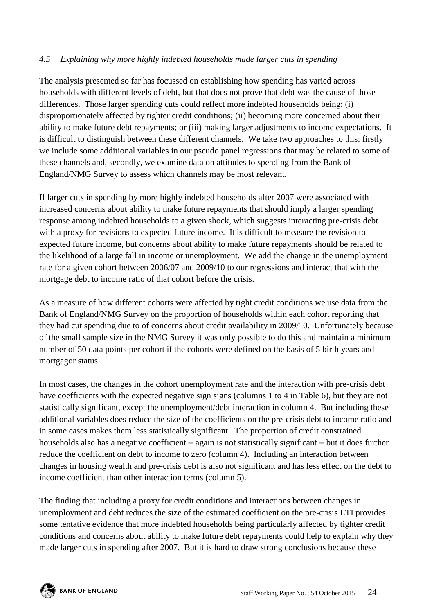# *4.5 Explaining why more highly indebted households made larger cuts in spending*

The analysis presented so far has focussed on establishing how spending has varied across households with different levels of debt, but that does not prove that debt was the cause of those differences. Those larger spending cuts could reflect more indebted households being: (i) disproportionately affected by tighter credit conditions; (ii) becoming more concerned about their ability to make future debt repayments; or (iii) making larger adjustments to income expectations. It is difficult to distinguish between these different channels. We take two approaches to this: firstly we include some additional variables in our pseudo panel regressions that may be related to some of these channels and, secondly, we examine data on attitudes to spending from the Bank of England/NMG Survey to assess which channels may be most relevant.

If larger cuts in spending by more highly indebted households after 2007 were associated with increased concerns about ability to make future repayments that should imply a larger spending response among indebted households to a given shock, which suggests interacting pre-crisis debt with a proxy for revisions to expected future income. It is difficult to measure the revision to expected future income, but concerns about ability to make future repayments should be related to the likelihood of a large fall in income or unemployment. We add the change in the unemployment rate for a given cohort between 2006/07 and 2009/10 to our regressions and interact that with the mortgage debt to income ratio of that cohort before the crisis.

As a measure of how different cohorts were affected by tight credit conditions we use data from the Bank of England/NMG Survey on the proportion of households within each cohort reporting that they had cut spending due to of concerns about credit availability in 2009/10. Unfortunately because of the small sample size in the NMG Survey it was only possible to do this and maintain a minimum number of 50 data points per cohort if the cohorts were defined on the basis of 5 birth years and mortgagor status.

In most cases, the changes in the cohort unemployment rate and the interaction with pre-crisis debt have coefficients with the expected negative sign signs (columns 1 to 4 in Table 6), but they are not statistically significant, except the unemployment/debt interaction in column 4. But including these additional variables does reduce the size of the coefficients on the pre-crisis debt to income ratio and in some cases makes them less statistically significant. The proportion of credit constrained households also has a negative coefficient  $-$  again is not statistically significant  $-$  but it does further reduce the coefficient on debt to income to zero (column 4). Including an interaction between changes in housing wealth and pre-crisis debt is also not significant and has less effect on the debt to income coefficient than other interaction terms (column 5).

The finding that including a proxy for credit conditions and interactions between changes in unemployment and debt reduces the size of the estimated coefficient on the pre-crisis LTI provides some tentative evidence that more indebted households being particularly affected by tighter credit conditions and concerns about ability to make future debt repayments could help to explain why they made larger cuts in spending after 2007. But it is hard to draw strong conclusions because these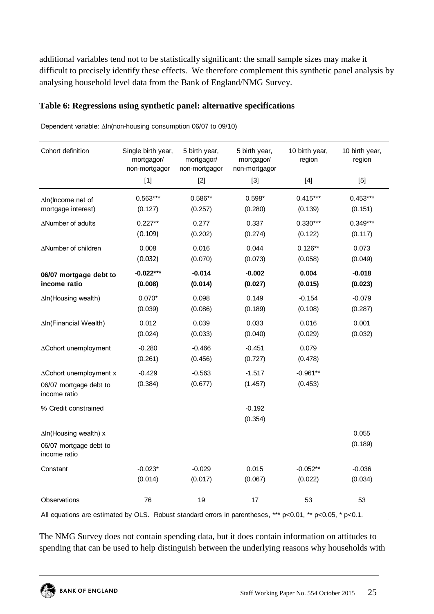additional variables tend not to be statistically significant: the small sample sizes may make it difficult to precisely identify these effects. We therefore complement this synthetic panel analysis by analysing household level data from the Bank of England/NMG Survey.

# **Table 6: Regressions using synthetic panel: alternative specifications**

| Cohort definition                      | Single birth year,<br>mortgagor/<br>non-mortgagor | 5 birth year,<br>mortgagor/<br>non-mortgagor | 5 birth year,<br>mortgagor/<br>non-mortgagor | 10 birth year,<br>region | 10 birth year,<br>region |
|----------------------------------------|---------------------------------------------------|----------------------------------------------|----------------------------------------------|--------------------------|--------------------------|
|                                        | $[1]$                                             | $[2]$                                        | $[3]$                                        | $[4]$                    | [5]                      |
| ∆In(Income net of                      | $0.563***$                                        | $0.586**$                                    | $0.598*$                                     | $0.415***$               | $0.453***$               |
| mortgage interest)                     | (0.127)                                           | (0.257)                                      | (0.280)                                      | (0.139)                  | (0.151)                  |
| ∆Number of adults                      | $0.227**$                                         | 0.277                                        | 0.337                                        | $0.330***$               | $0.349***$               |
|                                        | (0.109)                                           | (0.202)                                      | (0.274)                                      | (0.122)                  | (0.117)                  |
| ∆Number of children                    | 0.008                                             | 0.016                                        | 0.044                                        | $0.126**$                | 0.073                    |
|                                        | (0.032)                                           | (0.070)                                      | (0.073)                                      | (0.058)                  | (0.049)                  |
| 06/07 mortgage debt to                 | $-0.022***$                                       | $-0.014$                                     | $-0.002$                                     | 0.004                    | $-0.018$                 |
| income ratio                           | (0.008)                                           | (0.014)                                      | (0.027)                                      | (0.015)                  | (0.023)                  |
| ∆In(Housing wealth)                    | $0.070*$                                          | 0.098                                        | 0.149                                        | $-0.154$                 | $-0.079$                 |
|                                        | (0.039)                                           | (0.086)                                      | (0.189)                                      | (0.108)                  | (0.287)                  |
| ∆In(Financial Wealth)                  | 0.012                                             | 0.039                                        | 0.033                                        | 0.016                    | 0.001                    |
|                                        | (0.024)                                           | (0.033)                                      | (0.040)                                      | (0.029)                  | (0.032)                  |
| ACohort unemployment                   | $-0.280$                                          | $-0.466$                                     | $-0.451$                                     | 0.079                    |                          |
|                                        | (0.261)                                           | (0.456)                                      | (0.727)                                      | (0.478)                  |                          |
| $\Delta$ Cohort unemployment x         | $-0.429$                                          | $-0.563$                                     | $-1.517$                                     | $-0.961**$               |                          |
| 06/07 mortgage debt to<br>income ratio | (0.384)                                           | (0.677)                                      | (1.457)                                      | (0.453)                  |                          |
| % Credit constrained                   |                                                   |                                              | $-0.192$                                     |                          |                          |
|                                        |                                                   |                                              | (0.354)                                      |                          |                          |
| $\Delta$ In(Housing wealth) x          |                                                   |                                              |                                              |                          | 0.055                    |
| 06/07 mortgage debt to<br>income ratio |                                                   |                                              |                                              |                          | (0.189)                  |
| Constant                               | $-0.023*$                                         | $-0.029$                                     | 0.015                                        | $-0.052**$               | $-0.036$                 |
|                                        | (0.014)                                           | (0.017)                                      | (0.067)                                      | (0.022)                  | (0.034)                  |
| Observations                           | 76                                                | 19                                           | 17                                           | 53                       | 53                       |

Dependent variable: ∆ln(non-housing consumption 06/07 to 09/10)

All equations are estimated by OLS. Robust standard errors in parentheses, \*\*\* p<0.01, \*\* p<0.05, \* p<0.1.

The NMG Survey does not contain spending data, but it does contain information on attitudes to spending that can be used to help distinguish between the underlying reasons why households with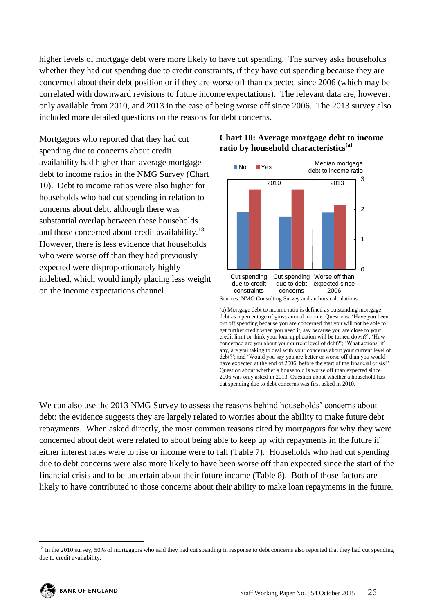higher levels of mortgage debt were more likely to have cut spending. The survey asks households whether they had cut spending due to credit constraints, if they have cut spending because they are concerned about their debt position or if they are worse off than expected since 2006 (which may be correlated with downward revisions to future income expectations). The relevant data are, however, only available from 2010, and 2013 in the case of being worse off since 2006. The 2013 survey also included more detailed questions on the reasons for debt concerns.

Mortgagors who reported that they had cut spending due to concerns about credit availability had higher-than-average mortgage debt to income ratios in the NMG Survey (Chart 10). Debt to income ratios were also higher for households who had cut spending in relation to concerns about debt, although there was substantial overlap between these households and those concerned about credit availability.<sup>18</sup> However, there is less evidence that households who were worse off than they had previously expected were disproportionately highly indebted, which would imply placing less weight on the income expectations channel.

# **Chart 10: Average mortgage debt to income ratio by household characteristics(a)**



Sources: NMG Consulting Survey and authors calculations.

(a) Mortgage debt to income ratio is defined as outstanding mortgage debt as a percentage of gross annual income. Questions: 'Have you been put off spending because you are concerned that you will not be able to get further credit when you need it, say because you are close to your credit limit or think your loan application will be turned down?'; 'How concerned are you about your current level of debt?'; 'What actions, if any, are you taking to deal with your concerns about your current level of debt?'; and 'Would you say you are better or worse off than you would have expected at the end of 2006, before the start of the financial crisis?'. Question about whether a household is worse off than expected since 2006 was only asked in 2013. Question about whether a household has cut spending due to debt concerns was first asked in 2010.

We can also use the 2013 NMG Survey to assess the reasons behind households' concerns about debt: the evidence suggests they are largely related to worries about the ability to make future debt repayments. When asked directly, the most common reasons cited by mortgagors for why they were concerned about debt were related to about being able to keep up with repayments in the future if either interest rates were to rise or income were to fall (Table 7). Households who had cut spending due to debt concerns were also more likely to have been worse off than expected since the start of the financial crisis and to be uncertain about their future income (Table 8). Both of those factors are likely to have contributed to those concerns about their ability to make loan repayments in the future.

<sup>&</sup>lt;sup>18</sup> In the 2010 survey, 50% of mortgagors who said they had cut spending in response to debt concerns also reported that they had cut spending due to credit availability.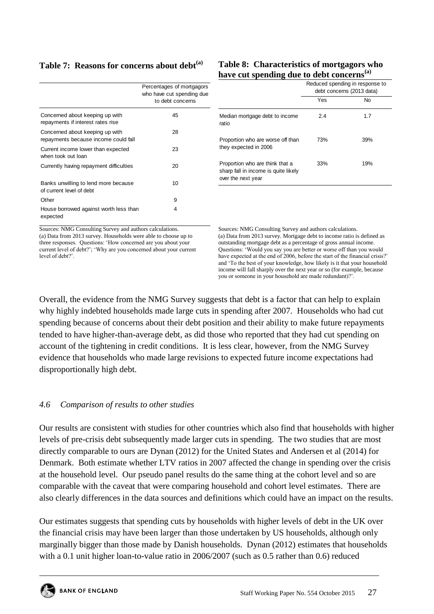|                                                                         | Percentages of mortgagors<br>who have cut spending due<br>to debt concerns |
|-------------------------------------------------------------------------|----------------------------------------------------------------------------|
| Concerned about keeping up with<br>repayments if interest rates rise    | 45                                                                         |
| Concerned about keeping up with<br>repayments because income could fall | 28                                                                         |
| Current income lower than expected<br>when took out loan                | 23                                                                         |
| Currently having repayment difficulties                                 | 20                                                                         |
| Banks unwilling to lend more because<br>of current level of debt        | 10                                                                         |
| Other                                                                   | 9                                                                          |
| House borrowed against worth less than<br>expected                      | 4                                                                          |

#### **Table 7: Reasons for concerns about debt(a) Table 8: Characteristics of mortgagors who have cut spending due to debt concerns(a)**

|                                                                                               | Reduced spending in response to<br>debt concerns (2013 data) |     |  |
|-----------------------------------------------------------------------------------------------|--------------------------------------------------------------|-----|--|
|                                                                                               | Yes                                                          | No  |  |
| Median mortgage debt to income<br>ratio                                                       | 2.4                                                          | 1.7 |  |
| Proportion who are worse off than<br>they expected in 2006                                    | 73%                                                          | 39% |  |
| Proportion who are think that a<br>sharp fall in income is quite likely<br>over the next year | 33%                                                          | 19% |  |

Sources: NMG Consulting Survey and authors calculations. (a) Data from 2013 survey. Households were able to choose up to three responses. Questions: 'How concerned are you about your current level of debt?'; 'Why are you concerned about your current level of debt?'.

Sources: NMG Consulting Survey and authors calculations. (a) Data from 2013 survey. Mortgage debt to income ratio is defined as outstanding mortgage debt as a percentage of gross annual income. Questions: 'Would you say you are better or worse off than you would have expected at the end of 2006, before the start of the financial crisis?' and 'To the best of your knowledge, how likely is it that your household income will fall sharply over the next year or so (for example, because you or someone in your household are made redundant)?'.

Overall, the evidence from the NMG Survey suggests that debt is a factor that can help to explain why highly indebted households made large cuts in spending after 2007. Households who had cut spending because of concerns about their debt position and their ability to make future repayments tended to have higher-than-average debt, as did those who reported that they had cut spending on account of the tightening in credit conditions. It is less clear, however, from the NMG Survey evidence that households who made large revisions to expected future income expectations had disproportionally high debt.

# *4.6 Comparison of results to other studies*

Our results are consistent with studies for other countries which also find that households with higher levels of pre-crisis debt subsequently made larger cuts in spending. The two studies that are most directly comparable to ours are Dynan (2012) for the United States and Andersen et al (2014) for Denmark. Both estimate whether LTV ratios in 2007 affected the change in spending over the crisis at the household level. Our pseudo panel results do the same thing at the cohort level and so are comparable with the caveat that were comparing household and cohort level estimates. There are also clearly differences in the data sources and definitions which could have an impact on the results.

Our estimates suggests that spending cuts by households with higher levels of debt in the UK over the financial crisis may have been larger than those undertaken by US households, although only marginally bigger than those made by Danish households. Dynan (2012) estimates that households with a 0.1 unit higher loan-to-value ratio in 2006/2007 (such as 0.5 rather than 0.6) reduced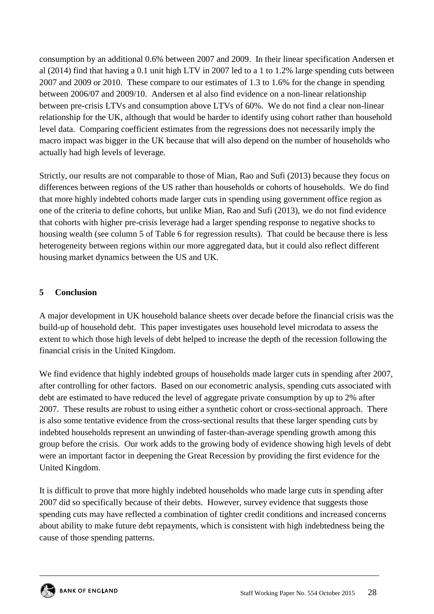consumption by an additional 0.6% between 2007 and 2009. In their linear specification Andersen et al (2014) find that having a 0.1 unit high LTV in 2007 led to a 1 to 1.2% large spending cuts between 2007 and 2009 or 2010. These compare to our estimates of 1.3 to 1.6% for the change in spending between 2006/07 and 2009/10. Andersen et al also find evidence on a non-linear relationship between pre-crisis LTVs and consumption above LTVs of 60%. We do not find a clear non-linear relationship for the UK, although that would be harder to identify using cohort rather than household level data. Comparing coefficient estimates from the regressions does not necessarily imply the macro impact was bigger in the UK because that will also depend on the number of households who actually had high levels of leverage.

Strictly, our results are not comparable to those of Mian, Rao and Sufi (2013) because they focus on differences between regions of the US rather than households or cohorts of households. We do find that more highly indebted cohorts made larger cuts in spending using government office region as one of the criteria to define cohorts, but unlike Mian, Rao and Sufi (2013), we do not find evidence that cohorts with higher pre-crisis leverage had a larger spending response to negative shocks to housing wealth (see column 5 of Table 6 for regression results). That could be because there is less heterogeneity between regions within our more aggregated data, but it could also reflect different housing market dynamics between the US and UK.

# **5 Conclusion**

A major development in UK household balance sheets over decade before the financial crisis was the build-up of household debt. This paper investigates uses household level microdata to assess the extent to which those high levels of debt helped to increase the depth of the recession following the financial crisis in the United Kingdom.

We find evidence that highly indebted groups of households made larger cuts in spending after 2007, after controlling for other factors. Based on our econometric analysis, spending cuts associated with debt are estimated to have reduced the level of aggregate private consumption by up to 2% after 2007. These results are robust to using either a synthetic cohort or cross-sectional approach. There is also some tentative evidence from the cross-sectional results that these larger spending cuts by indebted households represent an unwinding of faster-than-average spending growth among this group before the crisis. Our work adds to the growing body of evidence showing high levels of debt were an important factor in deepening the Great Recession by providing the first evidence for the United Kingdom.

It is difficult to prove that more highly indebted households who made large cuts in spending after 2007 did so specifically because of their debts. However, survey evidence that suggests those spending cuts may have reflected a combination of tighter credit conditions and increased concerns about ability to make future debt repayments, which is consistent with high indebtedness being the cause of those spending patterns.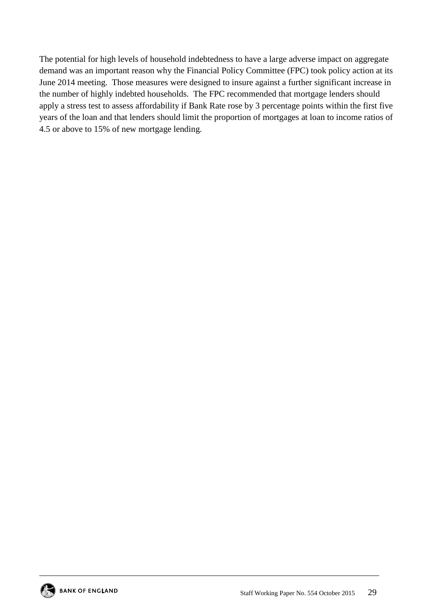The potential for high levels of household indebtedness to have a large adverse impact on aggregate demand was an important reason why the Financial Policy Committee (FPC) took policy action at its June 2014 meeting. Those measures were designed to insure against a further significant increase in the number of highly indebted households. The FPC recommended that mortgage lenders should apply a stress test to assess affordability if Bank Rate rose by 3 percentage points within the first five years of the loan and that lenders should limit the proportion of mortgages at loan to income ratios of 4.5 or above to 15% of new mortgage lending.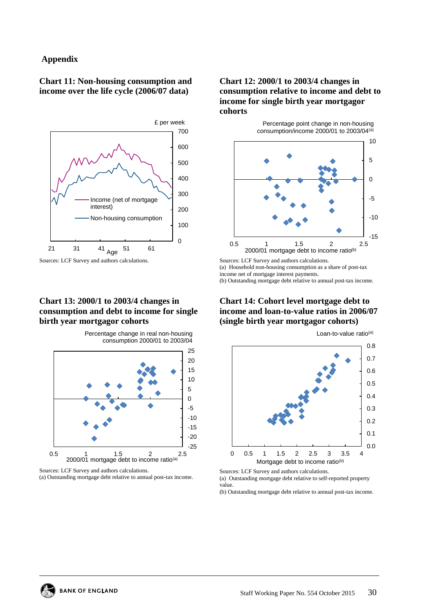#### **Appendix**

#### **Chart 11: Non-housing consumption and income over the life cycle (2006/07 data)**



Sources: LCF Survey and authors calculations. Sources: LCF Survey and authors calculations.

#### **Chart 13: 2000/1 to 2003/4 changes in consumption and debt to income for single birth year mortgagor cohorts**

Percentage change in real non-housing consumption 2000/01 to 2003/04



Sources: LCF Survey and authors calculations. (a) Outstanding mortgage debt relative to annual post-tax income.

# **Chart 12: 2000/1 to 2003/4 changes in consumption relative to income and debt to income for single birth year mortgagor cohorts**



(a) Household non-housing consumption as a share of post-tax income net of mortgage interest payments. (b) Outstanding mortgage debt relative to annual post-tax income.

# **Chart 14: Cohort level mortgage debt to income and loan-to-value ratios in 2006/07 (single birth year mortgagor cohorts)**

Loan-to-value ratio(a)



Sources: LCF Survey and authors calculations. (a) Outstanding mortgage debt relative to self-reported property value.

(b) Outstanding mortgage debt relative to annual post-tax income.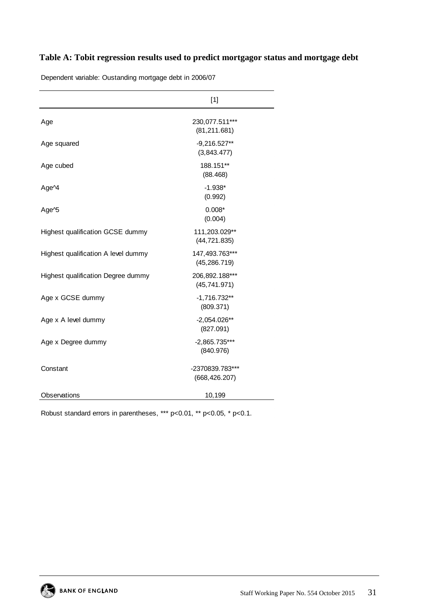# **Table A: Tobit regression results used to predict mortgagor status and mortgage debt**

Dependent variable: Oustanding mortgage debt in 2006/07

|                                     | $[1]$                             |
|-------------------------------------|-----------------------------------|
| Age                                 | 230,077.511***<br>(81, 211.681)   |
| Age squared                         | $-9,216.527**$<br>(3,843.477)     |
| Age cubed                           | 188.151**<br>(88.468)             |
| Age <sup><math>\vee</math>4</sup>   | $-1.938*$<br>(0.992)              |
| Age <sup>^</sup> 5                  | $0.008*$<br>(0.004)               |
| Highest qualification GCSE dummy    | 111,203.029**<br>(44, 721.835)    |
| Highest qualification A level dummy | 147,493.763***<br>(45, 286.719)   |
| Highest qualification Degree dummy  | 206,892.188***<br>(45, 741.971)   |
| Age x GCSE dummy                    | $-1,716.732**$<br>(809.371)       |
| Age x A level dummy                 | $-2,054.026**$<br>(827.091)       |
| Age x Degree dummy                  | $-2,865.735***$<br>(840.976)      |
| Constant                            | -2370839.783***<br>(668, 426.207) |
| Observations                        | 10,199                            |

Robust standard errors in parentheses, \*\*\* p<0.01, \*\* p<0.05, \* p<0.1.

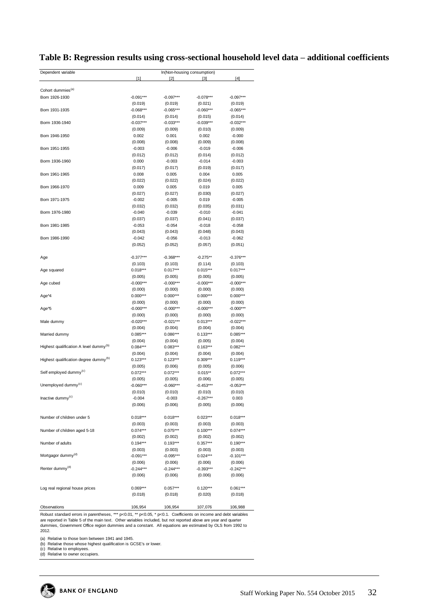| Dependent variable                                 | In(Non-housing consumption) |                        |                        |                        |  |  |
|----------------------------------------------------|-----------------------------|------------------------|------------------------|------------------------|--|--|
|                                                    | $[1]$                       | $[2]$                  | $[3]$                  | [4]                    |  |  |
|                                                    |                             |                        |                        |                        |  |  |
| Cohort dummies <sup>(a)</sup>                      |                             |                        |                        |                        |  |  |
| Born 1926-1930                                     | $-0.091***$                 | $-0.097***$            | $-0.078***$            | $-0.097***$            |  |  |
|                                                    | (0.019)                     | (0.019)                | (0.021)                | (0.019)                |  |  |
| Born 1931-1935                                     | $-0.068***$                 | $-0.065***$            | $-0.060***$            | $-0.065***$            |  |  |
| Borm 1936-1940                                     | (0.014)<br>$-0.037***$      | (0.014)<br>$-0.033***$ | (0.015)<br>$-0.039***$ | (0.014)<br>$-0.032***$ |  |  |
|                                                    | (0.009)                     | (0.009)                | (0.010)                | (0.009)                |  |  |
| Born 1946-1950                                     | 0.002                       | 0.001                  | 0.002                  | $-0.000$               |  |  |
|                                                    | (0.008)                     | (0.008)                | (0.009)                | (0.008)                |  |  |
| Born 1951-1955                                     | $-0.003$                    | $-0.006$               | $-0.019$               | $-0.006$               |  |  |
|                                                    | (0.012)                     | (0.012)                | (0.014)                | (0.012)                |  |  |
| Borm 1936-1960                                     | 0.000                       | $-0.003$               | $-0.014$               | $-0.003$               |  |  |
|                                                    | (0.017)                     | (0.017)                | (0.019)                | (0.017)                |  |  |
| Born 1961-1965                                     | 0.008                       | 0.005                  | 0.004                  | 0.005                  |  |  |
|                                                    | (0.022)                     | (0.022)                | (0.024)                | (0.022)                |  |  |
| Born 1966-1970                                     | 0.009                       | 0.005                  | 0.019                  | 0.005                  |  |  |
|                                                    | (0.027)                     | (0.027)                | (0.030)                | (0.027)                |  |  |
| Born 1971-1975                                     | $-0.002$                    | $-0.005$               | 0.019                  | $-0.005$               |  |  |
|                                                    | (0.032)                     | (0.032)                | (0.035)                | (0.031)                |  |  |
| Borm 1976-1980                                     | $-0.040$                    | $-0.039$               | $-0.010$               | $-0.041$               |  |  |
|                                                    | (0.037)                     | (0.037)                | (0.041)                | (0.037)                |  |  |
| Born 1981-1985                                     | $-0.053$                    | $-0.054$               | $-0.018$               | $-0.058$               |  |  |
|                                                    | (0.043)                     | (0.043)                | (0.048)                | (0.043)                |  |  |
| Born 1986-1990                                     | $-0.042$                    | $-0.056$               | $-0.013$               | $-0.062$               |  |  |
|                                                    | (0.052)                     | (0.052)                | (0.057)                | (0.051)                |  |  |
|                                                    |                             |                        |                        |                        |  |  |
| Age                                                | $-0.377***$                 | $-0.368***$            | $-0.275**$             | $-0.376***$            |  |  |
|                                                    | (0.103)                     | (0.103)                | (0.114)                | (0.103)                |  |  |
| Age squared                                        | $0.018***$                  | $0.017***$             | $0.015***$             | $0.017***$             |  |  |
|                                                    | (0.005)                     | (0.005)                | (0.005)                | (0.005)                |  |  |
| Age cubed                                          | $-0.000***$                 | $-0.000***$            | $-0.000***$            | $-0.000***$            |  |  |
|                                                    | (0.000)                     | (0.000)                | (0.000)                | (0.000)                |  |  |
| Age^4                                              | $0.000***$                  | $0.000***$             | $0.000***$             | $0.000***$             |  |  |
|                                                    | (0.000)<br>$-0.000***$      | (0.000)<br>$-0.000***$ | (0.000)<br>$-0.000***$ | (0.000)<br>$-0.000***$ |  |  |
| Age^5                                              | (0.000)                     | (0.000)                | (0.000)                | (0.000)                |  |  |
| Male dummy                                         | $-0.020***$                 | $-0.021***$            | $0.013***$             | $-0.022***$            |  |  |
|                                                    | (0.004)                     | (0.004)                | (0.004)                | (0.004)                |  |  |
| Married dummy                                      | $0.085***$                  | $0.086***$             | $0.133***$             | $0.085***$             |  |  |
|                                                    | (0.004)                     | (0.004)                | (0.005)                | (0.004)                |  |  |
| Highest qualification A level dummy <sup>(b)</sup> | $0.084***$                  | $0.083***$             | $0.163***$             | $0.082***$             |  |  |
|                                                    | (0.004)                     | (0.004)                | (0.004)                | (0.004)                |  |  |
| Highest qualification degree dummy <sup>(b)</sup>  | $0.123***$                  | $0.123***$             | 0.309***               | $0.119***$             |  |  |
|                                                    | (0.005)                     | (0.006)                | (0.005)                | (0.006)                |  |  |
| Self employed dummy <sup>(c)</sup>                 | $0.072***$                  | $0.072***$             | $0.015***$             | $0.072***$             |  |  |
|                                                    | (0.005)                     | (0.005)                | (0.006)                | (0.005)                |  |  |
| Unemployed dummy <sup>(c)</sup>                    | $-0.060***$                 | $-0.060***$            | $-0.453***$            | $-0.053***$            |  |  |
|                                                    | (0.010)                     | (0.010)                | (0.010)                | (0.010)                |  |  |
| Inactive dummy $(c)$                               | $-0.004$                    | $-0.003$               | $-0.267***$            | 0.003                  |  |  |
|                                                    | (0.006)                     | (0.006)                | (0.005)                | (0.006)                |  |  |
|                                                    |                             |                        |                        |                        |  |  |
| Number of children under 5                         | $0.018***$                  | $0.018***$             | $0.023***$             | $0.018***$             |  |  |
|                                                    | (0.003)                     | (0.003)                | (0.003)                | (0.003)                |  |  |
| Number of children aged 5-18                       | $0.074***$                  | $0.075***$             | $0.100***$             | $0.074***$             |  |  |
|                                                    | (0.002)                     | (0.002)                | (0.002)                | (0.002)                |  |  |
| Number of adults                                   | $0.194***$                  | $0.193***$             | $0.357***$             | $0.190***$             |  |  |
|                                                    | (0.003)                     | (0.003)                | (0.003)                | (0.003)                |  |  |
| Mortgagor dummy <sup>(d)</sup>                     | $-0.091***$                 | $-0.095***$            | $0.024***$             | $-0.101***$            |  |  |
|                                                    | (0.006)                     | (0.006)                | (0.006)                | (0.006)                |  |  |
| Renter dummy <sup>(d)</sup>                        | $-0.244***$                 | $-0.244***$            | $-0.393***$            | $-0.242***$            |  |  |
|                                                    | (0.006)                     | (0.006)                | (0.006)                | (0.006)                |  |  |
|                                                    |                             |                        |                        |                        |  |  |
| Log real regional house prices                     | $0.069***$                  | $0.057***$             | $0.120***$             | $0.061***$             |  |  |
|                                                    | (0.018)                     | (0.018)                | (0.020)                | (0.018)                |  |  |
| Observations                                       | 106,954                     | 106,954                | 107,076                | 106,988                |  |  |
|                                                    |                             |                        |                        |                        |  |  |

# **Table B: Regression results using cross-sectional household level data – additional coefficients**

Robust standard errors in parentheses, \*\*\* p<0.01, \*\* p<0.05, \* p<0.1. Coefficients on income and debt variables<br>are reported in Table 5 of the main text. Other variables included, but not reported above are year and quart dummies, Government Office region dummies and a constant. All equations are estimated by OLS from 1992 to 2012.

(a) Relative to those born between 1941 and 1945. (b) Relative those whose highest qualification is GCSE's or lower.

(c) Relative to employees. (d) Relative to owner occupiers.

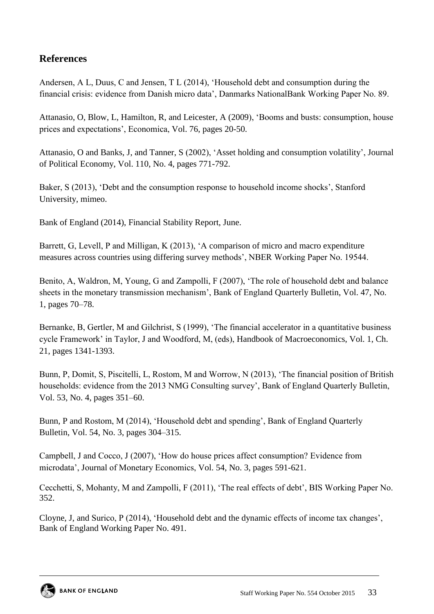# **References**

Andersen, A L, Duus, C and Jensen, T L (2014), 'Household debt and consumption during the financial crisis: evidence from Danish micro data', Danmarks NationalBank Working Paper No. 89.

Attanasio, O, Blow, L, Hamilton, R, and Leicester, A (2009), 'Booms and busts: consumption, house prices and expectations', Economica, Vol. 76, pages 20-50.

Attanasio, O and Banks, J, and Tanner, S (2002), 'Asset holding and consumption volatility', Journal of Political Economy, Vol. 110, No. 4, pages 771-792.

Baker, S (2013), 'Debt and the consumption response to household income shocks', Stanford University, mimeo.

Bank of England (2014), Financial Stability Report, June.

Barrett, G, Levell, P and Milligan, K (2013), 'A comparison of micro and macro expenditure measures across countries using differing survey methods', NBER Working Paper No. 19544.

Benito, A, Waldron, M, Young, G and Zampolli, F (2007), 'The role of household debt and balance sheets in the monetary transmission mechanism', Bank of England Quarterly Bulletin, Vol. 47, No. 1, pages 70–78.

Bernanke, B, Gertler, M and Gilchrist, S (1999), 'The financial accelerator in a quantitative business cycle Framework' in Taylor, J and Woodford, M, (eds), Handbook of Macroeconomics, Vol. 1, Ch. 21, pages 1341-1393.

Bunn, P, Domit, S, Piscitelli, L, Rostom, M and Worrow, N (2013), 'The financial position of British households: evidence from the 2013 NMG Consulting survey', Bank of England Quarterly Bulletin, Vol. 53, No. 4, pages 351–60.

Bunn, P and Rostom, M (2014), 'Household debt and spending', Bank of England Quarterly Bulletin, Vol. 54, No. 3, pages 304–315.

Campbell, J and Cocco, J (2007), 'How do house prices affect consumption? Evidence from microdata', Journal of Monetary Economics, Vol. 54, No. 3, pages 591-621.

Cecchetti, S, Mohanty, M and Zampolli, F (2011), 'The real effects of debt', BIS Working Paper No. 352.

Cloyne, J, and Surico, P (2014), 'Household debt and the dynamic effects of income tax changes', Bank of England Working Paper No. 491.

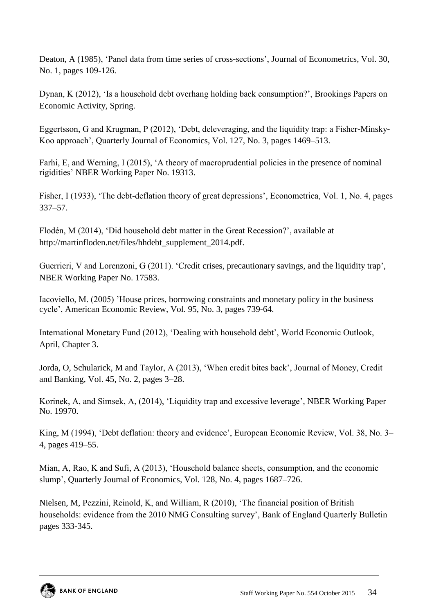Deaton, A (1985), 'Panel data from time series of cross-sections', Journal of Econometrics, Vol. 30, No. 1, pages 109-126.

Dynan, K (2012), 'Is a household debt overhang holding back consumption?', Brookings Papers on Economic Activity, Spring.

Eggertsson, G and Krugman, P (2012), 'Debt, deleveraging, and the liquidity trap: a Fisher-Minsky-Koo approach', Quarterly Journal of Economics, Vol. 127, No. 3, pages 1469–513.

Farhi, E, and Werning, I (2015), 'A theory of macroprudential policies in the presence of nominal rigidities' NBER Working Paper No. 19313.

Fisher, I (1933), 'The debt-deflation theory of great depressions', Econometrica, Vol. 1, No. 4, pages 337–57.

Flodén, M (2014), 'Did household debt matter in the Great Recession?', available at http://martinfloden.net/files/hhdebt\_supplement\_2014.pdf.

Guerrieri, V and Lorenzoni, G (2011). 'Credit crises, precautionary savings, and the liquidity trap', NBER Working Paper No. 17583.

Iacoviello, M. (2005) 'House prices, borrowing constraints and monetary policy in the business cycle', American Economic Review, Vol. 95, No. 3, pages 739-64.

International Monetary Fund (2012), 'Dealing with household debt', World Economic Outlook, April, Chapter 3.

Jorda, O, Schularick, M and Taylor, A (2013), 'When credit bites back', Journal of Money, Credit and Banking, Vol. 45, No. 2, pages 3–28.

Korinek, A, and Simsek, A, (2014), 'Liquidity trap and excessive leverage', NBER Working Paper No. 19970.

King, M (1994), 'Debt deflation: theory and evidence', European Economic Review, Vol. 38, No. 3– 4, pages 419–55.

Mian, A, Rao, K and Sufi, A (2013), 'Household balance sheets, consumption, and the economic slump', Quarterly Journal of Economics, Vol. 128, No. 4, pages 1687–726.

Nielsen, M, Pezzini, Reinold, K, and William, R (2010), 'The financial position of British households: evidence from the 2010 NMG Consulting survey', Bank of England Quarterly Bulletin pages 333-345.